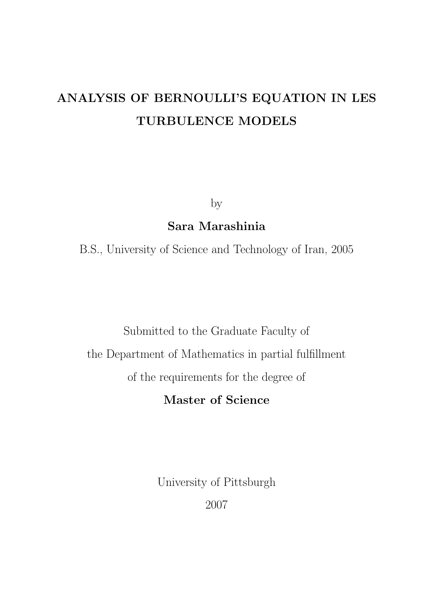# ANALYSIS OF BERNOULLI'S EQUATION IN LES TURBULENCE MODELS

by

Sara Marashinia

B.S., University of Science and Technology of Iran, 2005

Submitted to the Graduate Faculty of the Department of Mathematics in partial fulfillment of the requirements for the degree of

Master of Science

University of Pittsburgh

2007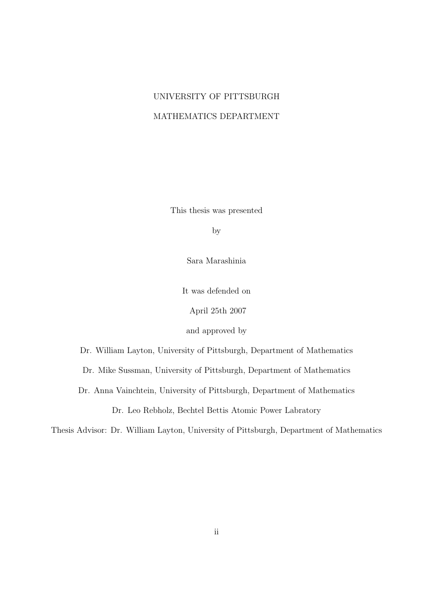## UNIVERSITY OF PITTSBURGH MATHEMATICS DEPARTMENT

This thesis was presented

by

Sara Marashinia

It was defended on

April 25th 2007

and approved by

Dr. William Layton, University of Pittsburgh, Department of Mathematics

Dr. Mike Sussman, University of Pittsburgh, Department of Mathematics

Dr. Anna Vainchtein, University of Pittsburgh, Department of Mathematics

Dr. Leo Rebholz, Bechtel Bettis Atomic Power Labratory

Thesis Advisor: Dr. William Layton, University of Pittsburgh, Department of Mathematics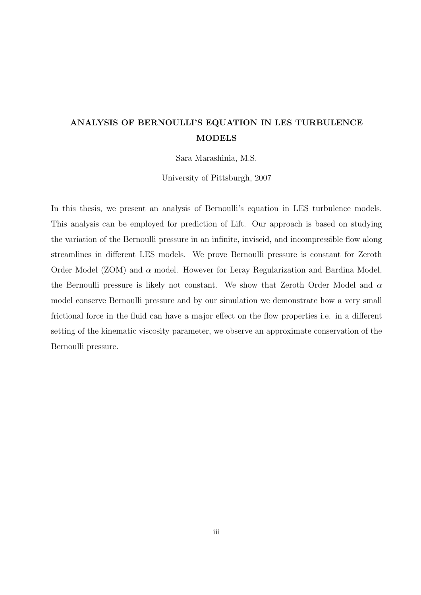## ANALYSIS OF BERNOULLI'S EQUATION IN LES TURBULENCE MODELS

Sara Marashinia, M.S.

University of Pittsburgh, 2007

In this thesis, we present an analysis of Bernoulli's equation in LES turbulence models. This analysis can be employed for prediction of Lift. Our approach is based on studying the variation of the Bernoulli pressure in an infinite, inviscid, and incompressible flow along streamlines in different LES models. We prove Bernoulli pressure is constant for Zeroth Order Model (ZOM) and  $\alpha$  model. However for Leray Regularization and Bardina Model, the Bernoulli pressure is likely not constant. We show that Zeroth Order Model and  $\alpha$ model conserve Bernoulli pressure and by our simulation we demonstrate how a very small frictional force in the fluid can have a major effect on the flow properties i.e. in a different setting of the kinematic viscosity parameter, we observe an approximate conservation of the Bernoulli pressure.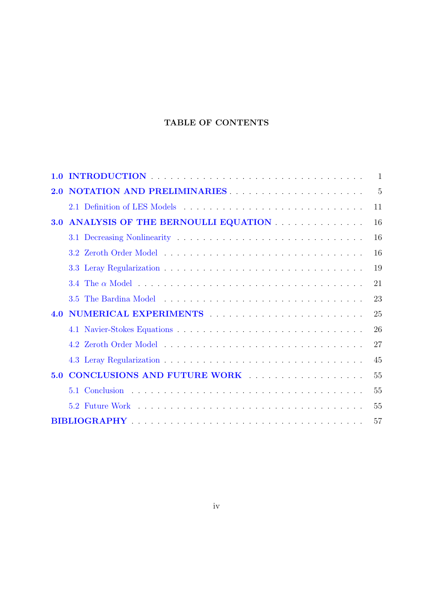## TABLE OF CONTENTS

| 1.0 |                                                                                                                                                                                                                                | $\mathbf{1}$ |
|-----|--------------------------------------------------------------------------------------------------------------------------------------------------------------------------------------------------------------------------------|--------------|
| 2.0 |                                                                                                                                                                                                                                | 5            |
|     |                                                                                                                                                                                                                                | 11           |
| 3.0 | ANALYSIS OF THE BERNOULLI EQUATION                                                                                                                                                                                             | 16           |
|     |                                                                                                                                                                                                                                | 16           |
|     |                                                                                                                                                                                                                                | 16           |
|     |                                                                                                                                                                                                                                | 19           |
|     |                                                                                                                                                                                                                                | 21           |
|     |                                                                                                                                                                                                                                | 23           |
| 4.0 | NUMERICAL EXPERIMENTS And the set of the set of the set of the set of the set of the set of the set of the set of the set of the set of the set of the set of the set of the set of the set of the set of the set of the set o | 25           |
|     |                                                                                                                                                                                                                                | 26           |
|     |                                                                                                                                                                                                                                | 27           |
|     |                                                                                                                                                                                                                                | 45           |
| 5.0 | CONCLUSIONS AND FUTURE WORK                                                                                                                                                                                                    | 55           |
|     |                                                                                                                                                                                                                                | 55           |
|     |                                                                                                                                                                                                                                | 55           |
|     |                                                                                                                                                                                                                                | 57           |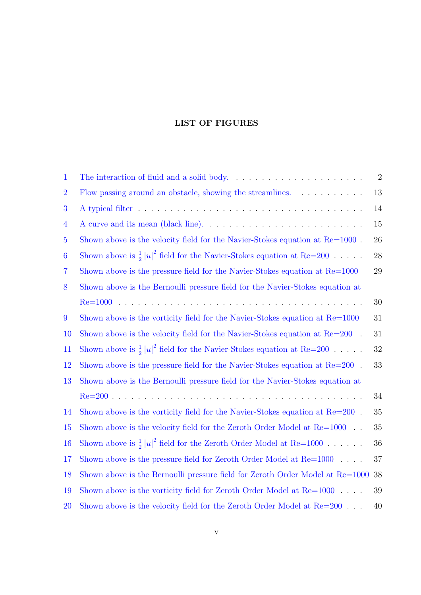### LIST OF FIGURES

| $\mathbf 1$    |                                                                                   | $\sqrt{2}$ |
|----------------|-----------------------------------------------------------------------------------|------------|
| $\overline{2}$ | Flow passing around an obstacle, showing the streamlines.                         | 13         |
| 3              |                                                                                   | 14         |
| $\overline{4}$ |                                                                                   | 15         |
| $\overline{5}$ | Shown above is the velocity field for the Navier-Stokes equation at $Re=1000$ .   | 26         |
| 6              | Shown above is $\frac{1}{2}  u ^2$ field for the Navier-Stokes equation at Re=200 | 28         |
| 7              | Shown above is the pressure field for the Navier-Stokes equation at Re=1000       | 29         |
| 8              | Shown above is the Bernoulli pressure field for the Navier-Stokes equation at     |            |
|                |                                                                                   | 30         |
| 9              | Shown above is the vorticity field for the Navier-Stokes equation at Re=1000      | 31         |
| 10             | Shown above is the velocity field for the Navier-Stokes equation at $Re=200$ .    | 31         |
| 11             | Shown above is $\frac{1}{2}  u ^2$ field for the Navier-Stokes equation at Re=200 | 32         |
| 12             | Shown above is the pressure field for the Navier-Stokes equation at $Re=200$ .    | 33         |
| 13             | Shown above is the Bernoulli pressure field for the Navier-Stokes equation at     |            |
|                |                                                                                   | 34         |
| 14             | Shown above is the vorticity field for the Navier-Stokes equation at $Re=200$ .   | 35         |
| 15             | Shown above is the velocity field for the Zeroth Order Model at $Re=1000$ .       | 35         |
| 16             | Shown above is $\frac{1}{2}  u ^2$ field for the Zeroth Order Model at Re=1000    | 36         |
| $17\,$         | Shown above is the pressure field for Zeroth Order Model at $Re=1000$ .           | 37         |
| 18             | Shown above is the Bernoulli pressure field for Zeroth Order Model at Re=1000     | 38         |
| 19             | Shown above is the vorticity field for Zeroth Order Model at $Re=1000$ .          | 39         |
| 20             | Shown above is the velocity field for the Zeroth Order Model at $Re=200$          | 40         |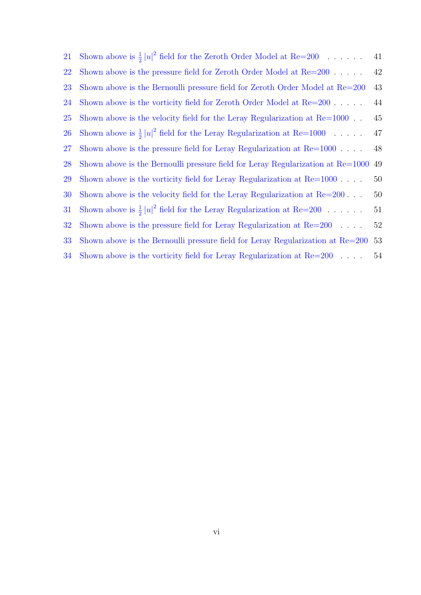| 21 | Shown above is $\frac{1}{2}  u ^2$ field for the Zeroth Order Model at Re=200     | 41 |
|----|-----------------------------------------------------------------------------------|----|
| 22 | Shown above is the pressure field for Zeroth Order Model at $Re=200$              | 42 |
| 23 | Shown above is the Bernoulli pressure field for Zeroth Order Model at Re=200      | 43 |
| 24 | Shown above is the vorticity field for Zeroth Order Model at $Re=200$ .           | 44 |
| 25 | Shown above is the velocity field for the Leray Regularization at $Re=1000$       | 45 |
| 26 | Shown above is $\frac{1}{2}  u ^2$ field for the Leray Regularization at Re=1000  | 47 |
| 27 | Shown above is the pressure field for Leray Regularization at $Re=1000$ .         | 48 |
| 28 | Shown above is the Bernoulli pressure field for Leray Regularization at $Re=1000$ | 49 |
| 29 | Shown above is the vorticity field for Leray Regularization at $Re=1000$ .        | 50 |
| 30 | Shown above is the velocity field for the Leray Regularization at $Re=200$        | 50 |
| 31 | Shown above is $\frac{1}{2}  u ^2$ field for the Leray Regularization at Re=200   | 51 |
| 32 | Shown above is the pressure field for Leray Regularization at $Re=200$            | 52 |
| 33 | Shown above is the Bernoulli pressure field for Leray Regularization at Re=200    | 53 |
| 34 | Shown above is the vorticity field for Leray Regularization at $Re=200$           | 54 |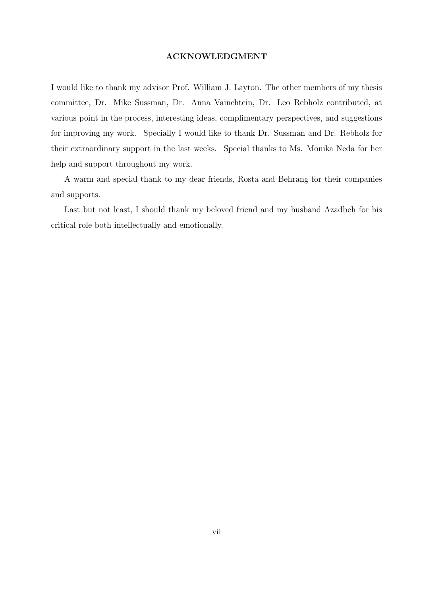#### ACKNOWLEDGMENT

I would like to thank my advisor Prof. William J. Layton. The other members of my thesis committee, Dr. Mike Sussman, Dr. Anna Vainchtein, Dr. Leo Rebholz contributed, at various point in the process, interesting ideas, complimentary perspectives, and suggestions for improving my work. Specially I would like to thank Dr. Sussman and Dr. Rebholz for their extraordinary support in the last weeks. Special thanks to Ms. Monika Neda for her help and support throughout my work.

A warm and special thank to my dear friends, Rosta and Behrang for their companies and supports.

Last but not least, I should thank my beloved friend and my husband Azadbeh for his critical role both intellectually and emotionally.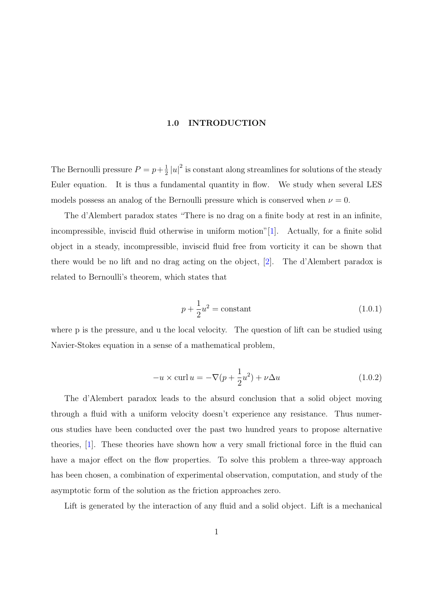#### 1.0 INTRODUCTION

<span id="page-7-0"></span>The Bernoulli pressure  $P = p + \frac{1}{2}$  $\frac{1}{2} |u|^2$  is constant along streamlines for solutions of the steady Euler equation. It is thus a fundamental quantity in flow. We study when several LES models possess an analog of the Bernoulli pressure which is conserved when  $\nu = 0$ .

The d'Alembert paradox states "There is no drag on a finite body at rest in an infinite, incompressible, inviscid fluid otherwise in uniform motion"[1]. Actually, for a finite solid object in a steady, incompressible, inviscid fluid free from vorticity it can be shown that there would be no lift and no drag acting on the object, [2[\].](#page-63-0) The d'Alembert paradox is related to Bernoulli's theorem, which states that

$$
p + \frac{1}{2}u^2 = \text{constant} \tag{1.0.1}
$$

where p is the pressure, and u the local velocity. The question of lift can be studied using Navier-Stokes equation in a sense of a mathematical problem,

$$
-u \times \operatorname{curl} u = -\nabla (p + \frac{1}{2}u^2) + \nu \Delta u \qquad (1.0.2)
$$

The d'Alembert paradox leads to the absurd conclusion that a solid object moving through a fluid with a uniform velocity doesn't experience any resistance. Thus numerous studies have been conducted over the past two hundred years to propose alternative theories, [1]. These theories have shown how a very small frictional force in the fluid can have a major effect on the flow properties. To solve this problem a three-way approach has been [ch](#page-63-0)osen, a combination of experimental observation, computation, and study of the asymptotic form of the solution as the friction approaches zero.

Lift is generated by the interaction of any fluid and a solid object. Lift is a mechanical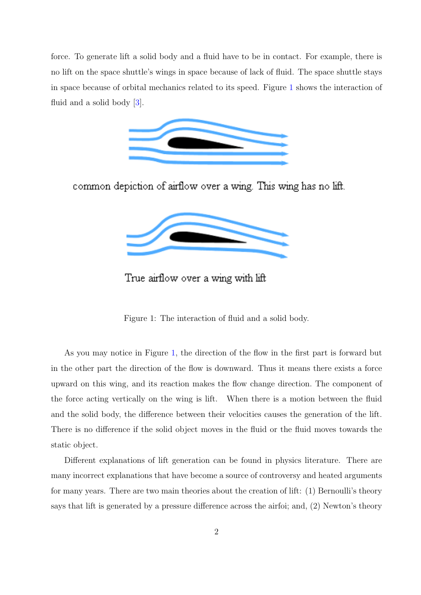<span id="page-8-0"></span>force. To generate lift a solid body and a fluid have to be in contact. For example, there is no lift on the space shuttle's wings in space because of lack of fluid. The space shuttle stays in space because of orbital mechanics related to its speed. Figure 1 shows the interaction of fluid and a solid body [3].



common depiction of airflow over a wing. This wing has no lift.



True airflow over a wing with lift

Figure 1: The interaction of fluid and a solid body.

As you may notice in Figure 1, the direction of the flow in the first part is forward but in the other part the direction of the flow is downward. Thus it means there exists a force upward on this wing, and its reaction makes the flow change direction. The component of the force acting vertically on the wing is lift. When there is a motion between the fluid and the solid body, the difference between their velocities causes the generation of the lift. There is no difference if the solid object moves in the fluid or the fluid moves towards the static object.

Different explanations of lift generation can be found in physics literature. There are many incorrect explanations that have become a source of controversy and heated arguments for many years. There are two main theories about the creation of lift: (1) Bernoulli's theory says that lift is generated by a pressure difference across the airfoi; and, (2) Newton's theory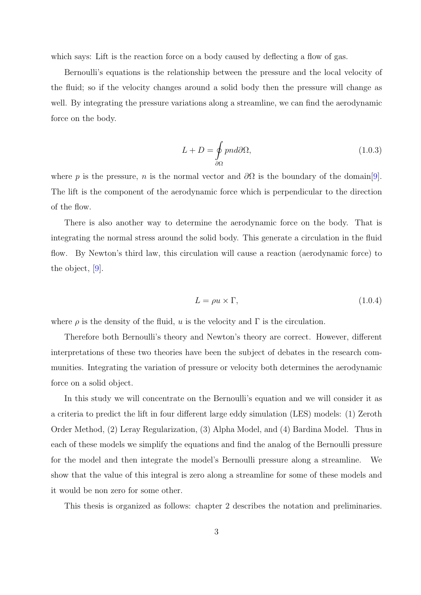which says: Lift is the reaction force on a body caused by deflecting a flow of gas.

Bernoulli's equations is the relationship between the pressure and the local velocity of the fluid; so if the velocity changes around a solid body then the pressure will change as well. By integrating the pressure variations along a streamline, we can find the aerodynamic force on the body.

$$
L + D = \oint_{\partial \Omega} p n d\partial \Omega, \qquad (1.0.3)
$$

where p is the pressure, n is the normal vector and  $\partial\Omega$  is the boundary of the domain[9]. The lift is the component of the aerodynamic force which is perpendicular to the direction of the flow.

There is also another way to determine the aerodynamic force on the body. That is integrating the normal stress around the solid body. This generate a circulation in the fluid flow. By Newton's third law, this circulation will cause a reaction (aerodynamic force) to the object, [9].

$$
L = \rho u \times \Gamma,\tag{1.0.4}
$$

where  $\rho$  is the density of the fluid, u is the velocity and  $\Gamma$  is the circulation.

Therefore both Bernoulli's theory and Newton's theory are correct. However, different interpretations of these two theories have been the subject of debates in the research communities. Integrating the variation of pressure or velocity both determines the aerodynamic force on a solid object.

In this study we will concentrate on the Bernoulli's equation and we will consider it as a criteria to predict the lift in four different large eddy simulation (LES) models: (1) Zeroth Order Method, (2) Leray Regularization, (3) Alpha Model, and (4) Bardina Model. Thus in each of these models we simplify the equations and find the analog of the Bernoulli pressure for the model and then integrate the model's Bernoulli pressure along a streamline. We show that the value of this integral is zero along a streamline for some of these models and it would be non zero for some other.

This thesis is organized as follows: chapter 2 describes the notation and preliminaries.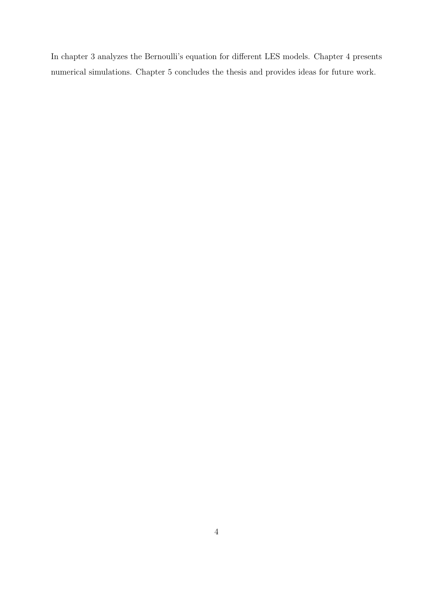In chapter 3 analyzes the Bernoulli's equation for different LES models. Chapter 4 presents numerical simulations. Chapter 5 concludes the thesis and provides ideas for future work.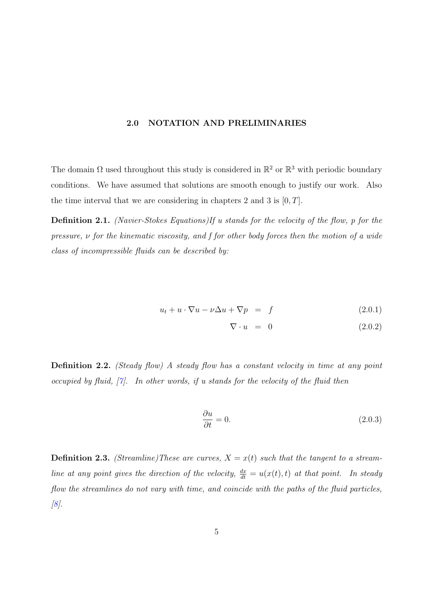#### 2.0 NOTATION AND PRELIMINARIES

<span id="page-11-0"></span>The domain  $\Omega$  used throughout this study is considered in  $\mathbb{R}^2$  or  $\mathbb{R}^3$  with periodic boundary conditions. We have assumed that solutions are smooth enough to justify our work. Also the time interval that we are considering in chapters 2 and 3 is  $[0, T]$ .

Definition 2.1. (Navier-Stokes Equations)If u stands for the velocity of the flow, p for the pressure,  $\nu$  for the kinematic viscosity, and f for other body forces then the motion of a wide class of incompressible fluids can be described by:

$$
u_t + u \cdot \nabla u - \nu \Delta u + \nabla p = f \tag{2.0.1}
$$

$$
\nabla \cdot u = 0 \tag{2.0.2}
$$

Definition 2.2. (Steady flow) A steady flow has a constant velocity in time at any point occupied by fluid,  $[\gamma]$ . In other words, if u stands for the velocity of the fluid then

$$
\frac{\partial u}{\partial t} = 0.\t(2.0.3)
$$

**Definition 2.3.** (Streamline)These are curves,  $X = x(t)$  such that the tangent to a streamline at any point gives the direction of the velocity,  $\frac{dx}{dt} = u(x(t), t)$  at that point. In steady flow the streamlines do not vary with time, and coincide with the paths of the fluid particles,  $[8]$ .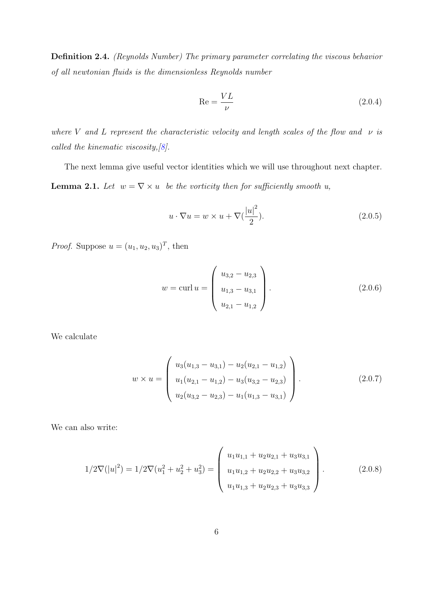<span id="page-12-0"></span>Definition 2.4. (Reynolds Number) The primary parameter correlating the viscous behavior of all newtonian fluids is the dimensionless Reynolds number

$$
\text{Re} = \frac{VL}{\nu} \tag{2.0.4}
$$

where V and L represent the characteristic velocity and length scales of the flow and  $\nu$  is called the kinematic viscosity,  $[8]$ .

The next lemma give useful vector identities which we will use throughout next chapter. **Lemma 2.1.** Let  $w = \nabla \times u$  $w = \nabla \times u$  $w = \nabla \times u$  be the vorticity then for sufficiently smooth u,

$$
u \cdot \nabla u = w \times u + \nabla \left(\frac{|u|^2}{2}\right). \tag{2.0.5}
$$

*Proof.* Suppose  $u = (u_1, u_2, u_3)^T$ , then

$$
w = \text{curl } u = \begin{pmatrix} u_{3,2} - u_{2,3} \\ u_{1,3} - u_{3,1} \\ u_{2,1} - u_{1,2} \end{pmatrix}.
$$
 (2.0.6)

We calculate

$$
w \times u = \begin{pmatrix} u_3(u_{1,3} - u_{3,1}) - u_2(u_{2,1} - u_{1,2}) \\ u_1(u_{2,1} - u_{1,2}) - u_3(u_{3,2} - u_{2,3}) \\ u_2(u_{3,2} - u_{2,3}) - u_1(u_{1,3} - u_{3,1}) \end{pmatrix}.
$$
 (2.0.7)

We can also write:

$$
1/2\nabla(|u|^2) = 1/2\nabla(u_1^2 + u_2^2 + u_3^2) = \begin{pmatrix} u_1u_{1,1} + u_2u_{2,1} + u_3u_{3,1} \\ u_1u_{1,2} + u_2u_{2,2} + u_3u_{3,2} \\ u_1u_{1,3} + u_2u_{2,3} + u_3u_{3,3} \end{pmatrix}.
$$
 (2.0.8)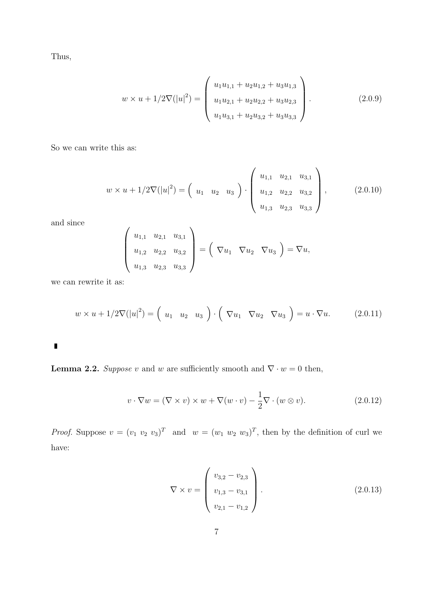<span id="page-13-0"></span>Thus,

$$
w \times u + 1/2\nabla (|u|^2) = \begin{pmatrix} u_1u_{1,1} + u_2u_{1,2} + u_3u_{1,3} \\ u_1u_{2,1} + u_2u_{2,2} + u_3u_{2,3} \\ u_1u_{3,1} + u_2u_{3,2} + u_3u_{3,3} \end{pmatrix}.
$$
 (2.0.9)

So we can write this as:

$$
w \times u + 1/2\nabla (|u|^2) = \begin{pmatrix} u_1 & u_2 & u_3 \end{pmatrix} \cdot \begin{pmatrix} u_{1,1} & u_{2,1} & u_{3,1} \\ u_{1,2} & u_{2,2} & u_{3,2} \\ u_{1,3} & u_{2,3} & u_{3,3} \end{pmatrix},
$$
 (2.0.10)

and since

$$
\begin{pmatrix} u_{1,1} & u_{2,1} & u_{3,1} \\ u_{1,2} & u_{2,2} & u_{3,2} \\ u_{1,3} & u_{2,3} & u_{3,3} \end{pmatrix} = \begin{pmatrix} \nabla u_1 & \nabla u_2 & \nabla u_3 \end{pmatrix} = \nabla u,
$$

we can rewrite it as:

$$
w \times u + 1/2\nabla (|u|^2) = \begin{pmatrix} u_1 & u_2 & u_3 \end{pmatrix} \cdot \begin{pmatrix} \nabla u_1 & \nabla u_2 & \nabla u_3 \end{pmatrix} = u \cdot \nabla u.
$$
 (2.0.11)

 $\blacksquare$ 

**Lemma 2.2.** Suppose v and w are sufficiently smooth and  $\nabla \cdot w = 0$  then,

$$
v \cdot \nabla w = (\nabla \times v) \times w + \nabla (w \cdot v) - \frac{1}{2} \nabla \cdot (w \otimes v). \tag{2.0.12}
$$

*Proof.* Suppose  $v = (v_1 \ v_2 \ v_3)^T$  and  $w = (w_1 \ w_2 \ w_3)^T$ , then by the definition of curl we have:

$$
\nabla \times v = \begin{pmatrix} v_{3,2} - v_{2,3} \\ v_{1,3} - v_{3,1} \\ v_{2,1} - v_{1,2} \end{pmatrix}.
$$
 (2.0.13)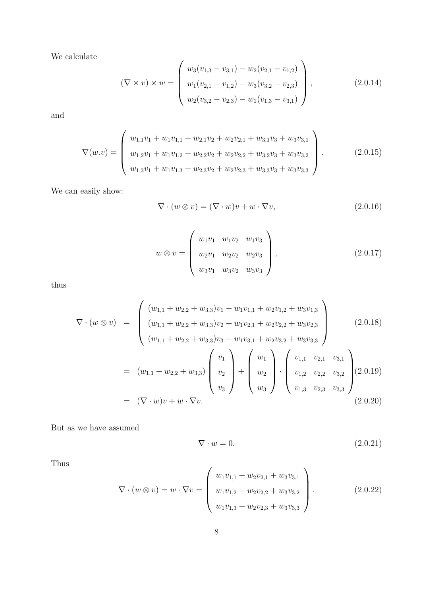We calculate

$$
(\nabla \times v) \times w = \begin{pmatrix} w_3(v_{1,3} - v_{3,1}) - w_2(v_{2,1} - v_{1,2}) \\ w_1(v_{2,1} - v_{1,2}) - w_3(v_{3,2} - v_{2,3}) \\ w_2(v_{3,2} - v_{2,3}) - w_1(v_{1,3} - v_{3,1}) \end{pmatrix},
$$
\n(2.0.14)

and

$$
\nabla(w.v) = \begin{pmatrix} w_{1,1}v_1 + w_1v_{1,1} + w_{2,1}v_2 + w_2v_{2,1} + w_{3,1}v_3 + w_3v_{3,1} \\ w_{1,2}v_1 + w_1v_{1,2} + w_{2,2}v_2 + w_2v_{2,2} + w_{3,2}v_3 + w_3v_{3,2} \\ w_{1,3}v_1 + w_1v_{1,3} + w_{2,3}v_2 + w_2v_{2,3} + w_{3,3}v_3 + w_3v_{3,3} \end{pmatrix}.
$$
 (2.0.15)

We can easily show:

$$
\nabla \cdot (w \otimes v) = (\nabla \cdot w)v + w \cdot \nabla v, \qquad (2.0.16)
$$

$$
w \otimes v = \begin{pmatrix} w_1v_1 & w_1v_2 & w_1v_3 \\ w_2v_1 & w_2v_2 & w_2v_3 \\ w_3v_1 & w_3v_2 & w_3v_3 \end{pmatrix},
$$
 (2.0.17)

thus

$$
\nabla \cdot (w \otimes v) = \begin{pmatrix} (w_{1,1} + w_{2,2} + w_{3,3})v_1 + w_1v_{1,1} + w_2v_{1,2} + w_3v_{1,3} \\ (w_{1,1} + w_{2,2} + w_{3,3})v_2 + w_1v_{2,1} + w_2v_{2,2} + w_3v_{2,3} \\ (w_{1,1} + w_{2,2} + w_{3,3})v_3 + w_1v_{3,1} + w_2v_{3,2} + w_3v_{3,3} \end{pmatrix}
$$
 (2.0.18)  

$$
= (w_{1,1} + w_{2,2} + w_{3,3}) \begin{pmatrix} v_1 \\ v_2 \\ v_3 \end{pmatrix} + \begin{pmatrix} w_1 \\ w_2 \\ w_3 \end{pmatrix} \cdot \begin{pmatrix} v_{1,1} & v_{2,1} & v_{3,1} \\ v_{1,2} & v_{2,2} & v_{3,2} \\ v_{1,3} & v_{2,3} & v_{3,3} \end{pmatrix}
$$
 (2.0.19)  

$$
= (\nabla \cdot w)v + w \cdot \nabla v.
$$

But as we have assumed

$$
\nabla \cdot w = 0. \tag{2.0.21}
$$

Thus

$$
\nabla \cdot (w \otimes v) = w \cdot \nabla v = \begin{pmatrix} w_1 v_{1,1} + w_2 v_{2,1} + w_3 v_{3,1} \\ w_1 v_{1,2} + w_2 v_{2,2} + w_3 v_{3,2} \\ w_1 v_{1,3} + w_2 v_{2,3} + w_3 v_{3,3} \end{pmatrix}.
$$
 (2.0.22)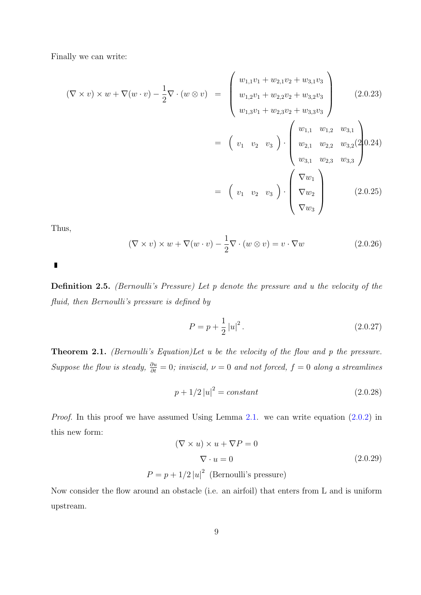<span id="page-15-0"></span>Finally we can write:

$$
(\nabla \times v) \times w + \nabla (w \cdot v) - \frac{1}{2} \nabla \cdot (w \otimes v) = \begin{pmatrix} w_{1,1}v_1 + w_{2,1}v_2 + w_{3,1}v_3 \\ w_{1,2}v_1 + w_{2,2}v_2 + w_{3,2}v_3 \\ w_{1,3}v_1 + w_{2,3}v_2 + w_{3,3}v_3 \end{pmatrix}
$$
(2.0.23)  

$$
= \begin{pmatrix} v_1 & v_2 & v_3 \end{pmatrix} \cdot \begin{pmatrix} w_{1,1} & w_{1,2} & w_{3,1} \\ w_{2,1} & w_{2,2} & w_{3,2}(2) \\ w_{3,1} & w_{2,3} & w_{3,3} \end{pmatrix}
$$
  

$$
= \begin{pmatrix} v_1 & v_2 & v_3 \end{pmatrix} \cdot \begin{pmatrix} \nabla w_1 \\ \nabla w_2 \\ \nabla w_3 \end{pmatrix}
$$
(2.0.25)

Thus,

$$
(\nabla \times v) \times w + \nabla(w \cdot v) - \frac{1}{2} \nabla \cdot (w \otimes v) = v \cdot \nabla w \tag{2.0.26}
$$

Definition 2.5. (Bernoulli's Pressure) Let p denote the pressure and u the velocity of the fluid, then Bernoulli's pressure is defined by

$$
P = p + \frac{1}{2} |u|^2.
$$
 (2.0.27)

Theorem 2.1. (Bernoulli's Equation)Let u be the velocity of the flow and p the pressure. Suppose the flow is steady,  $\frac{\partial u}{\partial t} = 0$ ; inviscid,  $\nu = 0$  and not forced,  $f = 0$  along a streamlines

$$
p + 1/2 |u|^2 = constant \t\t(2.0.28)
$$

Proof. In this proof we have assumed Using Lemma 2.1. we can write equation  $(2.0.2)$  in this new form:

$$
(\nabla \times u) \times u + \nabla P = 0
$$
  

$$
\nabla \cdot u = 0
$$
 (2.0.29)  

$$
P = p + 1/2 |u|^2
$$
 (Bernoulli's pressure)

Now consider the flow around an obstacle (i.e. an airfoil) that enters from L and is uniform upstream.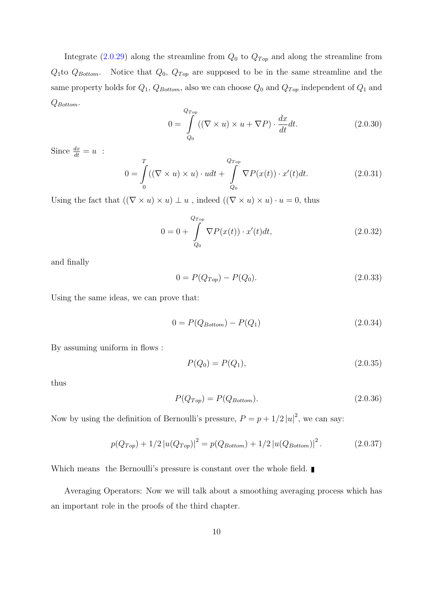Integrate (2.0.29) along the streamline from  $Q_0$  to  $Q_{Top}$  and along the streamline from  $Q_1$ to  $Q_{Bottom}$ . Notice that  $Q_0$ ,  $Q_{Top}$  are supposed to be in the same streamline and the same property [holds](#page-15-0) for  $Q_1$ ,  $Q_{Bottom}$ , also we can choose  $Q_0$  and  $Q_{Top}$  independent of  $Q_1$  and  $Q_{Bottom}$ .

$$
0 = \int_{Q_0}^{Q_{Top}} ((\nabla \times u) \times u + \nabla P) \cdot \frac{dx}{dt} dt.
$$
 (2.0.30)

Since  $\frac{dx}{dt} = u$ :

$$
0 = \int_{0}^{T} ((\nabla \times u) \times u) \cdot u dt + \int_{Q_{0}}^{Q_{Top}} \nabla P(x(t)) \cdot x'(t) dt.
$$
 (2.0.31)

Using the fact that  $((\nabla \times u) \times u) \perp u$ , indeed  $((\nabla \times u) \times u) \cdot u = 0$ , thus

$$
0 = 0 + \int_{Q_0}^{Q_{Top}} \nabla P(x(t)) \cdot x'(t) dt,
$$
\n(2.0.32)

and finally

$$
0 = P(Q_{Top}) - P(Q_0). \tag{2.0.33}
$$

Using the same ideas, we can prove that:

$$
0 = P(Q_{Bottom}) - P(Q_1)
$$
\n(2.0.34)

By assuming uniform in flows :

$$
P(Q_0) = P(Q_1), \t\t(2.0.35)
$$

thus

$$
P(Q_{Top}) = P(Q_{Bottom}).
$$
\n
$$
(2.0.36)
$$

Now by using the definition of Bernoulli's pressure,  $P = p + 1/2 |u|^2$ , we can say:

$$
p(Q_{Top}) + 1/2 |u(Q_{Top})|^2 = p(Q_{Bottom}) + 1/2 |u(Q_{Bottom})|^2.
$$
 (2.0.37)

Which means the Bernoulli's pressure is constant over the whole field.

Averaging Operators: Now we will talk about a smoothing averaging process which has an important role in the proofs of the third chapter.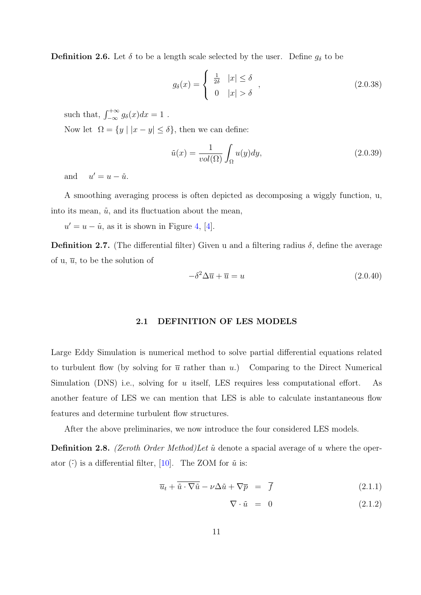<span id="page-17-0"></span>**Definition 2.6.** Let  $\delta$  to be a length scale selected by the user. Define  $g_{\delta}$  to be

$$
g_{\delta}(x) = \begin{cases} \frac{1}{2\delta} & |x| \le \delta \\ 0 & |x| > \delta \end{cases} \tag{2.0.38}
$$

such that,  $\int_{-\infty}^{+\infty} g_{\delta}(x)dx = 1$ . Now let  $\Omega = \{y \mid |x - y| \le \delta\}$ , then we can define:

$$
\bar{u}(x) = \frac{1}{vol(\Omega)} \int_{\Omega} u(y) dy,
$$
\n(2.0.39)

and  $u' = u - \overline{u}$ .

A smoothing averaging process is often depicted as decomposing a wiggly function, u, into its mean,  $\bar{u}$ , and its fluctuation about the mean,

 $u' = u - \bar{u}$ , as it is shown in Figure 4, [4].

**Definition 2.7.** (The differential filter) Given u and a filtering radius δ, define the average of u,  $\overline{u}$ , to be the solution of

$$
-\delta^2 \Delta \overline{u} + \overline{u} = u \tag{2.0.40}
$$

#### 2.1 DEFINITION OF LES MODELS

Large Eddy Simulation is numerical method to solve partial differential equations related to turbulent flow (by solving for  $\overline{u}$  rather than u.) Comparing to the Direct Numerical Simulation (DNS) i.e., solving for u itself, LES requires less computational effort. As another feature of LES we can mention that LES is able to calculate instantaneous flow features and determine turbulent flow structures.

After the above preliminaries, we now introduce the four considered LES models.

**Definition 2.8.** (Zeroth Order Method) Let  $\bar{u}$  denote a spacial average of u where the operator  $\overline{(\cdot)}$  is a differential filter, [10]. The ZOM for  $\overline{u}$  is:

$$
\overline{u}_t + \overline{\dot{u} \cdot \nabla \dot{u}} - \nu \Delta \dot{u} + \nabla \overline{p} = \overline{f} \tag{2.1.1}
$$

$$
\nabla \cdot \bar{u} = 0 \tag{2.1.2}
$$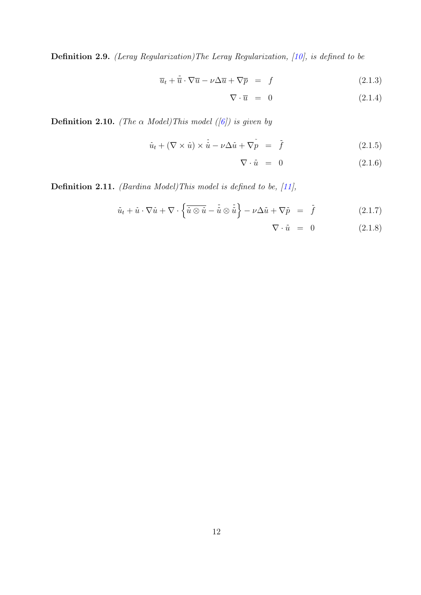Definition 2.9. (Leray Regularization)The Leray Regularization, [10], is defined to be

$$
\overline{u}_t + \overline{\dot{u}} \cdot \nabla \overline{u} - \nu \Delta \overline{u} + \nabla \overline{p} = f \tag{2.1.3}
$$

$$
\nabla \cdot \overline{u} = 0 \tag{2.1.4}
$$

**Definition 2.10.** (The  $\alpha$  Model)This model ([6]) is given by

$$
\bar{u}_t + (\nabla \times \bar{u}) \times \bar{\bar{u}} - \nu \Delta \bar{u} + \nabla \tilde{p} = \bar{f}
$$
\n(2.1.5)

$$
\nabla \cdot \bar{u} = 0 \tag{2.1.6}
$$

Definition 2.11. *(Bardina Model)This model is defined to be, [11],* 

$$
\bar{u}_t + \bar{u} \cdot \nabla \bar{u} + \nabla \cdot \left\{ \overline{\bar{u} \otimes \bar{u}} - \overline{\bar{u}} \otimes \overline{\bar{u}} \right\} - \nu \Delta \bar{u} + \nabla \bar{p} = \overline{f}
$$
\n(2.1.7)

$$
\nabla \cdot \bar{u} = 0 \qquad (2.1.8)
$$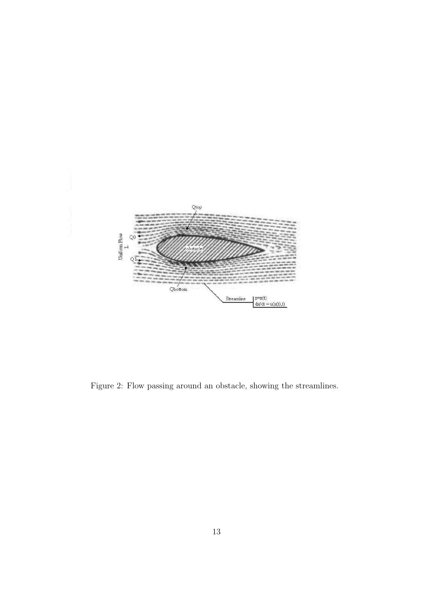<span id="page-19-0"></span>

Figure 2: Flow passing around an obstacle, showing the streamlines.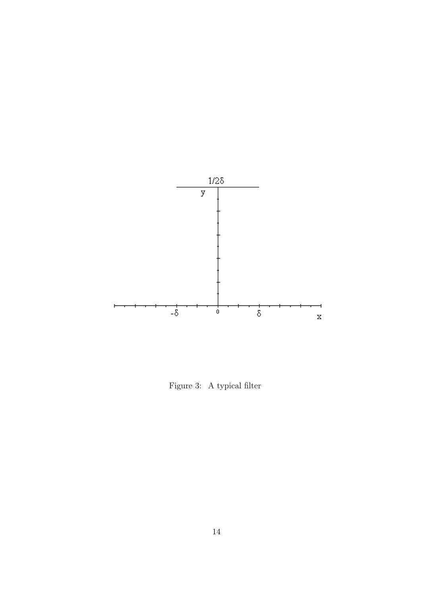<span id="page-20-0"></span>

Figure 3: A typical filter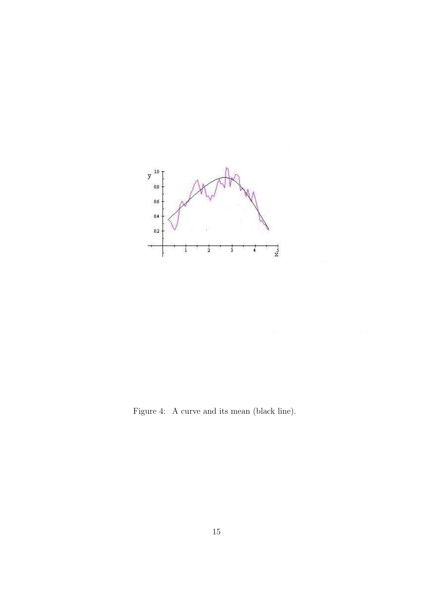<span id="page-21-0"></span>

Figure 4: A curve and its mean (black line).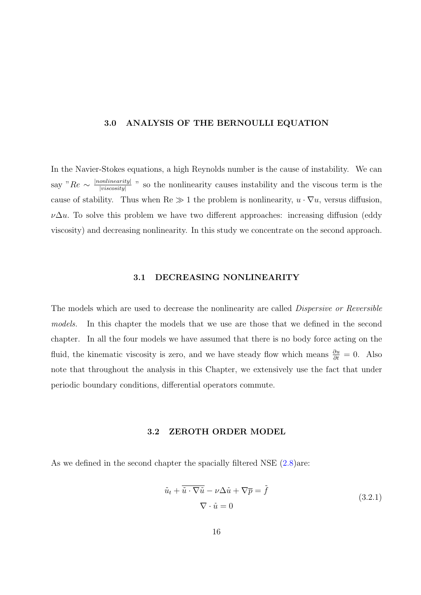#### <span id="page-22-0"></span>3.0 ANALYSIS OF THE BERNOULLI EQUATION

In the Navier-Stokes equations, a high Reynolds number is the cause of instability. We can say " $Re \sim \frac{|nonlinearity|}{|viscosity|}$  $\frac{\text{onlinearity}}{\text{iviscosity}}$  " so the nonlinearity causes instability and the viscous term is the cause of stability. Thus when  $\text{Re} \gg 1$  the problem is nonlinearity,  $u \cdot \nabla u$ , versus diffusion,  $\nu\Delta u$ . To solve this problem we have two different approaches: increasing diffusion (eddy viscosity) and decreasing nonlinearity. In this study we concentrate on the second approach.

#### 3.1 DECREASING NONLINEARITY

The models which are used to decrease the nonlinearity are called *Dispersive or Reversible* models. In this chapter the models that we use are those that we defined in the second chapter. In all the four models we have assumed that there is no body force acting on the fluid, the kinematic viscosity is zero, and we have steady flow which means  $\frac{\partial u}{\partial t} = 0$ . Also note that throughout the analysis in this Chapter, we extensively use the fact that under periodic boundary conditions, differential operators commute.

#### 3.2 ZEROTH ORDER MODEL

As we defined in the second chapter the spacially filtered NSE  $(2.8)$ are:

$$
\bar{u}_t + \overline{\overline{u} \cdot \nabla \overline{u}} - \nu \Delta \overline{u} + \nabla \overline{p} = \overline{f}
$$
\n
$$
\nabla \cdot \overline{u} = 0
$$
\n(3.2.1)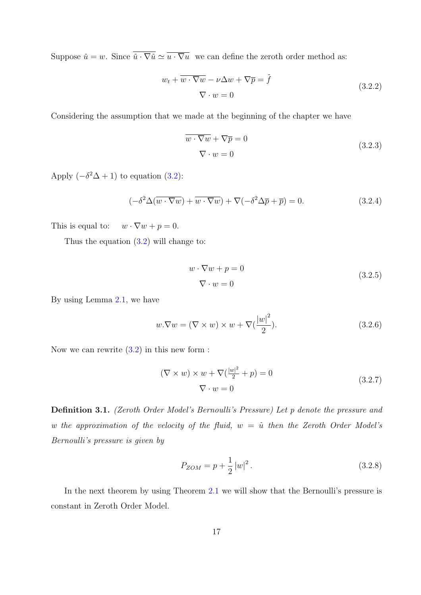Suppose  $\bar{u} = w$ . Since  $\overline{\bar{u} \cdot \nabla \bar{u}} \simeq \overline{\bar{u} \cdot \nabla \bar{u}}$  we can define the zeroth order method as:

$$
w_t + \overline{w \cdot \nabla w} - \nu \Delta w + \nabla \overline{p} = \overline{f}
$$
  

$$
\nabla \cdot w = 0
$$
 (3.2.2)

Considering the assumption that we made at the beginning of the chapter we have

$$
\overline{w \cdot \nabla w} + \nabla \overline{p} = 0
$$
  

$$
\nabla \cdot w = 0
$$
 (3.2.3)

Apply  $(-\delta^2 \Delta + 1)$  to equation (3.2):

$$
\left(-\delta^2 \Delta(\overline{w \cdot \nabla w}) + \overline{w \cdot \nabla w}\right) + \nabla(-\delta^2 \Delta \overline{p} + \overline{p}) = 0. \tag{3.2.4}
$$

This is equal to:  $w \cdot \nabla w + p = 0$ .

Thus the equation (3.2) will change to:

$$
w \cdot \nabla w + p = 0
$$
  

$$
\nabla \cdot w = 0
$$
 (3.2.5)

By using Lemma 2.1, we have

$$
w.\nabla w = (\nabla \times w) \times w + \nabla \left(\frac{|w|^2}{2}\right). \tag{3.2.6}
$$

Now we can rewrite  $(3.2)$  in this new form :

$$
(\nabla \times w) \times w + \nabla \left(\frac{|w|^2}{2} + p\right) = 0
$$
  

$$
\nabla \cdot w = 0
$$
 (3.2.7)

Definition 3.1. (Zeroth Order Model's Bernoulli's Pressure) Let p denote the pressure and w the approximation of the velocity of the fluid,  $w = \bar{u}$  then the Zeroth Order Model's Bernoulli's pressure is given by

$$
P_{ZOM} = p + \frac{1}{2} |w|^2.
$$
 (3.2.8)

In the next theorem by using Theorem 2.1 we will show that the Bernoulli's pressure is constant in Zeroth Order Model.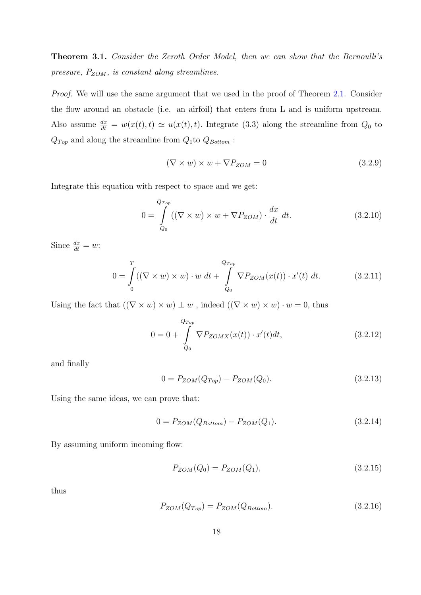Theorem 3.1. Consider the Zeroth Order Model, then we can show that the Bernoulli's pressure,  $P_{ZOM}$ , is constant along streamlines.

Proof. We will use the same argument that we used in the proof of Theorem 2.1. Consider the flow around an obstacle (i.e. an airfoil) that enters from L and is uniform upstream. Also assume  $\frac{dx}{dt} = w(x(t), t) \approx u(x(t), t)$ . Integrate (3.3) along the streamli[ne fr](#page-15-0)om  $Q_0$  to  $Q_{Top}$  and along the streamline from  $Q_1$  to  $Q_{Bottom}$ :

$$
(\nabla \times w) \times w + \nabla P_{ZOM} = 0 \tag{3.2.9}
$$

Integrate this equation with respect to space and we get:

$$
0 = \int_{Q_0}^{Q_{Top}} ((\nabla \times w) \times w + \nabla P_{ZOM}) \cdot \frac{dx}{dt} dt.
$$
 (3.2.10)

Since  $\frac{dx}{dt} = w$ :

$$
0 = \int_{0}^{T} ((\nabla \times w) \times w) \cdot w \, dt + \int_{Q_{0}}^{Q_{Top}} \nabla P_{ZOM}(x(t)) \cdot x'(t) \, dt. \tag{3.2.11}
$$

Using the fact that  $((\nabla \times w) \times w) \perp w$ , indeed  $((\nabla \times w) \times w) \cdot w = 0$ , thus

$$
0 = 0 + \int_{Q_0}^{Q_{Top}} \nabla P_{ZOMX}(x(t)) \cdot x'(t) dt,
$$
\n(3.2.12)

and finally

$$
0 = P_{ZOM}(Q_{Top}) - P_{ZOM}(Q_0). \tag{3.2.13}
$$

Using the same ideas, we can prove that:

$$
0 = P_{ZOM}(Q_{Bottom}) - P_{ZOM}(Q_1). \tag{3.2.14}
$$

By assuming uniform incoming flow:

$$
P_{ZOM}(Q_0) = P_{ZOM}(Q_1),\tag{3.2.15}
$$

thus

$$
P_{ZOM}(Q_{Top}) = P_{ZOM}(Q_{Bottom}).
$$
\n
$$
(3.2.16)
$$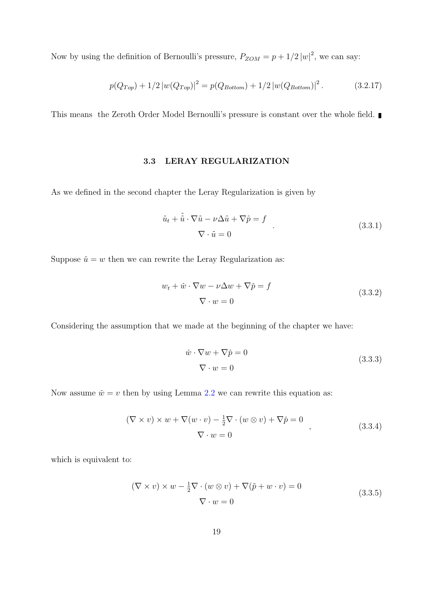<span id="page-25-0"></span>Now by using the definition of Bernoulli's pressure,  $P_{ZOM} = p + 1/2 |w|^2$ , we can say:

$$
p(Q_{Top}) + 1/2 |w(Q_{Top})|^2 = p(Q_{Bottom}) + 1/2 |w(Q_{Bottom})|^2.
$$
 (3.2.17)

This means the Zeroth Order Model Bernoulli's pressure is constant over the whole field.

#### 3.3 LERAY REGULARIZATION

As we defined in the second chapter the Leray Regularization is given by

$$
\bar{u}_t + \bar{u} \cdot \nabla \bar{u} - \nu \Delta \bar{u} + \nabla \bar{p} = f
$$
\n
$$
\nabla \cdot \bar{u} = 0
$$
\n(3.3.1)

Suppose  $\bar{u} = w$  then we can rewrite the Leray Regularization as:

$$
w_t + \bar{w} \cdot \nabla w - \nu \Delta w + \nabla \bar{p} = f
$$
  

$$
\nabla \cdot w = 0
$$
 (3.3.2)

Considering the assumption that we made at the beginning of the chapter we have:

$$
\bar{w} \cdot \nabla w + \nabla \bar{p} = 0
$$
  

$$
\nabla \cdot w = 0
$$
 (3.3.3)

Now assume  $\bar{w} = v$  then by using Lemma 2.2 we can rewrite this equation as:

$$
(\nabla \times v) \times w + \nabla (w \cdot v) - \frac{1}{2} \nabla \cdot (w \otimes v) + \nabla \bar{p} = 0
$$
  

$$
\nabla \cdot w = 0
$$
 (3.3.4)

which is equivalent to:

$$
(\nabla \times v) \times w - \frac{1}{2} \nabla \cdot (w \otimes v) + \nabla (\bar{p} + w \cdot v) = 0
$$
  

$$
\nabla \cdot w = 0
$$
 (3.3.5)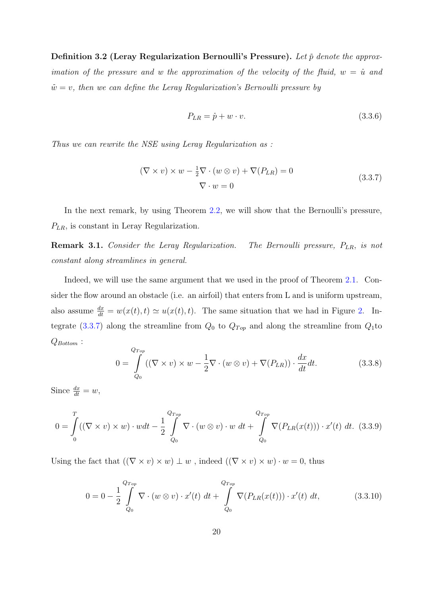Definition 3.2 (Leray Regularization Bernoulli's Pressure). Let  $\bar{p}$  denote the approximation of the pressure and w the approximation of the velocity of the fluid,  $w = \bar{u}$  and  $\overline{w} = v$ , then we can define the Leray Regularization's Bernoulli pressure by

$$
P_{LR} = \bar{p} + w \cdot v. \tag{3.3.6}
$$

Thus we can rewrite the NSE using Leray Regularization as :

$$
(\nabla \times v) \times w - \frac{1}{2} \nabla \cdot (w \otimes v) + \nabla (P_{LR}) = 0
$$
  

$$
\nabla \cdot w = 0
$$
 (3.3.7)

In the next remark, by using Theorem 2.2, we will show that the Bernoulli's pressure,  $P_{LR}$ , is constant in Leray Regularization.

Remark 3.1. Consider the Leray Regula[rizat](#page-13-0)ion. The Bernoulli pressure,  $P_{LR}$ , is not constant along streamlines in general.

Indeed, we will use the same argument that we used in the proof of Theorem 2.1. Consider the flow around an obstacle (i.e. an airfoil) that enters from L and is uniform upstream, also assume  $\frac{dx}{dt} = w(x(t), t) \approx u(x(t), t)$ . The same situation that we had in Fig[ure](#page-12-0) 2. Integrate (3.3.7) along the streamline from  $Q_0$  to  $Q_{Top}$  and along the streamline from  $Q_1$ to  $Q_{Bottom}$ :

$$
0 = \int_{Q_0}^{Q_{Top}} ((\nabla \times v) \times w - \frac{1}{2} \nabla \cdot (w \otimes v) + \nabla (P_{LR})) \cdot \frac{dx}{dt} dt.
$$
 (3.3.8)

Since  $\frac{dx}{dt} = w$ ,

$$
0 = \int_{0}^{T} ((\nabla \times v) \times w) \cdot w dt - \frac{1}{2} \int_{Q_{0}}^{Q_{Top}} \nabla \cdot (w \otimes v) \cdot w dt + \int_{Q_{0}}^{Q_{Top}} \nabla (P_{LR}(x(t))) \cdot x'(t) dt. (3.3.9)
$$

Using the fact that  $((\nabla \times v) \times w) \perp w$ , indeed  $((\nabla \times v) \times w) \cdot w = 0$ , thus

$$
0 = 0 - \frac{1}{2} \int_{Q_0}^{Q_{Top}} \nabla \cdot (w \otimes v) \cdot x'(t) dt + \int_{Q_0}^{Q_{Top}} \nabla (P_{LR}(x(t))) \cdot x'(t) dt,
$$
 (3.3.10)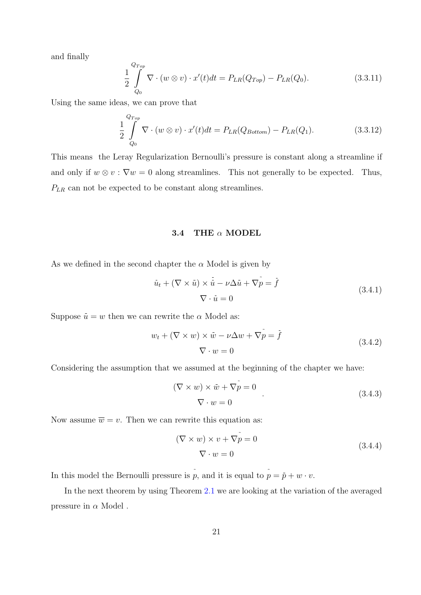<span id="page-27-0"></span>and finally

$$
\frac{1}{2} \int_{Q_0}^{Q_{Top}} \nabla \cdot (w \otimes v) \cdot x'(t) dt = P_{LR}(Q_{Top}) - P_{LR}(Q_0).
$$
\n(3.3.11)

Using the same ideas, we can prove that

$$
\frac{1}{2} \int_{Q_0}^{Q_{Top}} \nabla \cdot (w \otimes v) \cdot x'(t) dt = P_{LR}(Q_{Bottom}) - P_{LR}(Q_1).
$$
\n(3.3.12)

This means the Leray Regularization Bernoulli's pressure is constant along a streamline if and only if  $w \otimes v : \nabla w = 0$  along streamlines. This not generally to be expected. Thus,  $P_{LR}$  can not be expected to be constant along streamlines.

#### 3.4 THE  $\alpha$  MODEL

As we defined in the second chapter the  $\alpha$  Model is given by

$$
\bar{u}_t + (\nabla \times \bar{u}) \times \bar{\bar{u}} - \nu \Delta \bar{u} + \nabla \tilde{p} = \bar{f}
$$
\n
$$
\nabla \cdot \bar{u} = 0
$$
\n(3.4.1)

Suppose  $\bar{u} = w$  then we can rewrite the  $\alpha$  Model as:

$$
w_t + (\nabla \times w) \times \bar{w} - \nu \Delta w + \nabla \tilde{p} = \tilde{f}
$$
  

$$
\nabla \cdot w = 0
$$
 (3.4.2)

Considering the assumption that we assumed at the beginning of the chapter we have:

$$
(\nabla \times w) \times \bar{w} + \nabla \tilde{p} = 0
$$
  

$$
\nabla \cdot w = 0
$$
 (3.4.3)

Now assume  $\overline{w} = v$ . Then we can rewrite this equation as:

$$
(\nabla \times w) \times v + \nabla \tilde{p} = 0
$$
  

$$
\nabla \cdot w = 0
$$
 (3.4.4)

In this model the Bernoulli pressure is  $\tilde{p}$ , and it is equal to  $\tilde{p} = \tilde{p} + w \cdot v$ .

In the next theorem by using Theorem 2.1 we are looking at the variation of the averaged pressure in  $\alpha$  Model.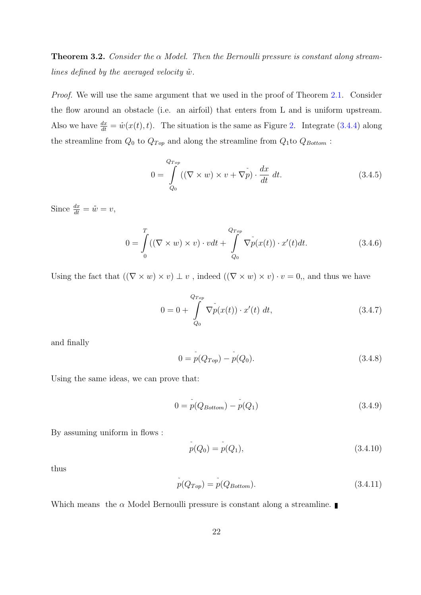**Theorem 3.2.** Consider the  $\alpha$  Model. Then the Bernoulli pressure is constant along streamlines defined by the averaged velocity  $\bar{w}$ .

Proof. We will use the same argument that we used in the proof of Theorem 2.1. Consider the flow around an obstacle (i.e. an airfoil) that enters from L and is uniform upstream. Also we have  $\frac{dx}{dt} = \bar{w}(x(t), t)$ . The situation is the same as Figure 2. Integra[te \(3](#page-15-0).4.4) along the streamline from  $Q_0$  to  $Q_{Top}$  and along the streamline from  $Q_1$ to  $Q_{Bottom}$ :

$$
0 = \int_{Q_0}^{Q_{Top}} ((\nabla \times w) \times v + \nabla \tilde{p}) \cdot \frac{dx}{dt} dt.
$$
 (3.4.5)

Since  $\frac{dx}{dt} = \bar{w} = v$ ,

$$
0 = \int_{0}^{T} ((\nabla \times w) \times v) \cdot v dt + \int_{Q_{0}}^{Q_{Top}} \nabla p(x(t)) \cdot x'(t) dt.
$$
 (3.4.6)

Using the fact that  $((\nabla \times w) \times v) \perp v$ , indeed  $((\nabla \times w) \times v) \cdot v = 0$ , and thus we have

$$
0 = 0 + \int_{Q_0}^{Q_{Top}} \nabla \tilde{p}(x(t)) \cdot x'(t) \, dt,\tag{3.4.7}
$$

and finally

$$
0 = p(Q_{Top}) - p(Q_0).
$$
 (3.4.8)

Using the same ideas, we can prove that:

$$
0 = p(Q_{Bottom}) - p(Q_1)
$$
\n(3.4.9)

By assuming uniform in flows :

$$
p(Q_0) = p(Q_1), \tag{3.4.10}
$$

thus

$$
p(Q_{Top}) = p(Q_{Bottom}).
$$
\n(3.4.11)

Which means the  $\alpha$  Model Bernoulli pressure is constant along a streamline.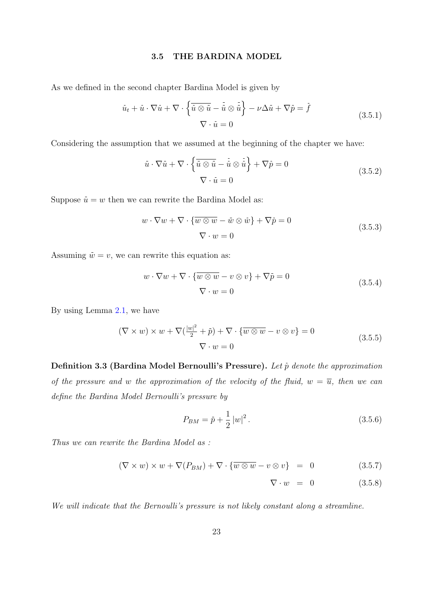#### 3.5 THE BARDINA MODEL

<span id="page-29-0"></span>As we defined in the second chapter Bardina Model is given by

$$
\bar{u}_t + \bar{u} \cdot \nabla \bar{u} + \nabla \cdot \left\{ \overline{\bar{u} \otimes \bar{u}} - \overline{\bar{u}} \otimes \overline{\bar{u}} \right\} - \nu \Delta \bar{u} + \nabla \bar{p} = \overline{f}
$$
\n
$$
\nabla \cdot \bar{u} = 0
$$
\n(3.5.1)

Considering the assumption that we assumed at the beginning of the chapter we have:

$$
\bar{u} \cdot \nabla \bar{u} + \nabla \cdot \left\{ \overline{\bar{u} \otimes \bar{u}} - \overline{\bar{u}} \otimes \overline{\bar{u}} \right\} + \nabla \bar{p} = 0
$$
\n
$$
\nabla \cdot \overline{\bar{u}} = 0
$$
\n(3.5.2)

Suppose  $\bar{u} = w$  then we can rewrite the Bardina Model as:

$$
w \cdot \nabla w + \nabla \cdot \{\overline{w \otimes w} - \bar{w} \otimes \bar{w}\} + \nabla \bar{p} = 0
$$
  

$$
\nabla \cdot w = 0
$$
 (3.5.3)

Assuming  $\bar{w} = v$ , we can rewrite this equation as:

$$
w \cdot \nabla w + \nabla \cdot {\overline{w \otimes w}} - v \otimes v + \nabla \overline{p} = 0
$$
  

$$
\nabla \cdot w = 0
$$
 (3.5.4)

By using Lemma 2.1, we have

$$
(\nabla \times w) \times w + \nabla \left(\frac{|w|^2}{2} + \bar{p}\right) + \nabla \cdot \left\{\overline{w \otimes w} - v \otimes v\right\} = 0
$$
\n
$$
\nabla \cdot w = 0
$$
\n(3.5.5)

Definition 3.3 (Bardina Model Bernoulli's Pressure). Let  $\bar{p}$  denote the approximation of the pressure and w the approximation of the velocity of the fluid,  $w = \overline{u}$ , then we can define the Bardina Model Bernoulli's pressure by

$$
P_{BM} = \bar{p} + \frac{1}{2} |w|^2.
$$
\n(3.5.6)

Thus we can rewrite the Bardina Model as :

$$
(\nabla \times w) \times w + \nabla (P_{BM}) + \nabla \cdot {\overline{w \otimes w}} - v \otimes v = 0 \qquad (3.5.7)
$$

$$
\nabla \cdot w = 0 \qquad (3.5.8)
$$

We will indicate that the Bernoulli's pressure is not likely constant along a streamline.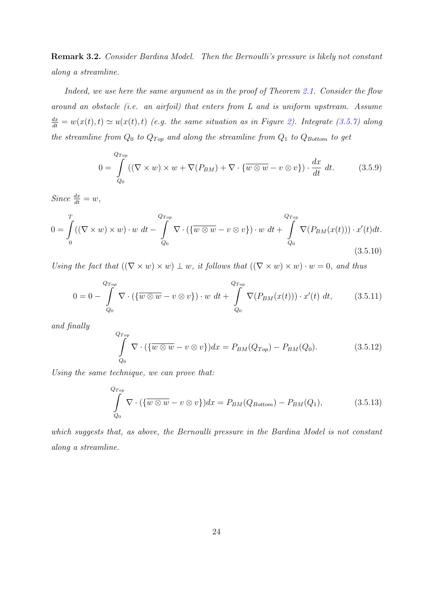Remark 3.2. Consider Bardina Model. Then the Bernoulli's pressure is likely not constant along a streamline.

Indeed, we use here the same argument as in the proof of Theorem 2.1. Consider the flow around an obstacle (i.e. an airfoil) that enters from L and is uniform upstream. Assume  $\frac{dx}{dt} = w(x(t), t) \approx u(x(t), t)$  (e.g. the same situation as in Figure 2). [Inte](#page-15-0)grate (3.5.7) along the streamline from  $Q_0$  to  $Q_{Top}$  and along the streamline from  $Q_1$  to  $Q_{Bottom}$  to get

$$
0 = \int_{Q_0}^{Q_{Top}} ((\nabla \times w) \times w + \nabla (P_{BM}) + \nabla \cdot {\overline{w \otimes w}} - v \otimes v) ) \cdot \frac{dx}{dt} dt.
$$
 (3.5.9)

Since  $\frac{dx}{dt} = w$ ,

$$
0 = \int_{0}^{T} ((\nabla \times w) \times w) \cdot w \, dt - \int_{Q_{0}}^{Q_{Top}} \nabla \cdot (\{\overline{w \otimes w} - v \otimes v\}) \cdot w \, dt + \int_{Q_{0}}^{Q_{Top}} \nabla (P_{BM}(x(t))) \cdot x'(t) dt.
$$
\n(3.5.10)

Using the fact that  $((\nabla \times w) \times w) \perp w$ , it follows that  $((\nabla \times w) \times w) \cdot w = 0$ , and thus

$$
0 = 0 - \int_{Q_0}^{Q_{Top}} \nabla \cdot (\{\overline{w \otimes w} - v \otimes v\}) \cdot w \, dt + \int_{Q_0}^{Q_{Top}} \nabla (P_{BM}(x(t))) \cdot x'(t) \, dt,\tag{3.5.11}
$$

and finally

$$
\int_{Q_0}^{Q_{Top}} \nabla \cdot (\{\overline{w \otimes w} - v \otimes v\}) dx = P_{BM}(Q_{Top}) - P_{BM}(Q_0).
$$
\n(3.5.12)

Using the same technique, we can prove that:

$$
\int_{Q_0}^{Q_{Top}} \nabla \cdot (\{\overline{w \otimes w} - v \otimes v\}) dx = P_{BM}(Q_{Bottom}) - P_{BM}(Q_1),
$$
\n(3.5.13)

which suggests that, as above, the Bernoulli pressure in the Bardina Model is not constant along a streamline.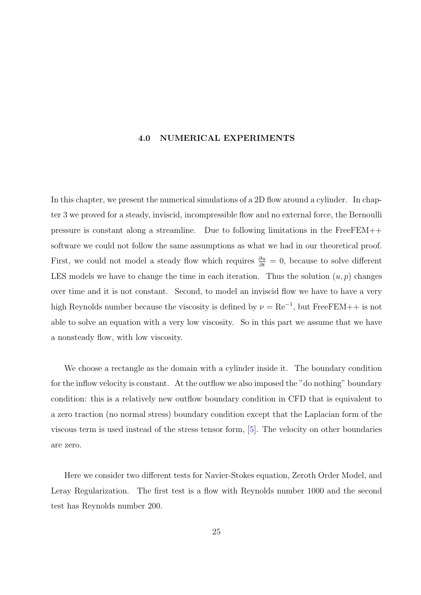#### 4.0 NUMERICAL EXPERIMENTS

<span id="page-31-0"></span>In this chapter, we present the numerical simulations of a 2D flow around a cylinder. In chapter 3 we proved for a steady, inviscid, incompressible flow and no external force, the Bernoulli pressure is constant along a streamline. Due to following limitations in the FreeFEM++ software we could not follow the same assumptions as what we had in our theoretical proof. First, we could not model a steady flow which requires  $\frac{\partial u}{\partial t} = 0$ , because to solve different LES models we have to change the time in each iteration. Thus the solution  $(u, p)$  changes over time and it is not constant. Second, to model an inviscid flow we have to have a very high Reynolds number because the viscosity is defined by  $\nu = \text{Re}^{-1}$ , but FreeFEM++ is not able to solve an equation with a very low viscosity. So in this part we assume that we have a nonsteady flow, with low viscosity.

We choose a rectangle as the domain with a cylinder inside it. The boundary condition for the inflow velocity is constant. At the outflow we also imposed the "do nothing" boundary condition: this is a relatively new outflow boundary condition in CFD that is equivalent to a zero traction (no normal stress) boundary condition except that the Laplacian form of the viscous term is used instead of the stress tensor form, [5]. The velocity on other boundaries are zero.

Here we consider two different tests for Navier-Stokes equation, Zeroth Order Model, and Leray Regularization. The first test is a flow with Reynolds number 1000 and the second test has Reynolds number 200.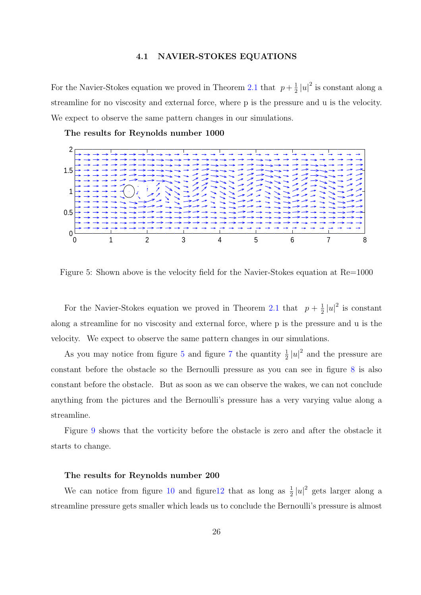#### 4.1 NAVIER-STOKES EQUATIONS

<span id="page-32-0"></span>For the Navier-Stokes equation we proved in Theorem 2.1 that  $p + \frac{1}{2}$  $\frac{1}{2} |u|^2$  is constant along a streamline for no viscosity and external force, where p is the pressure and u is the velocity. We expect to observe the same pattern changes in ou[r sim](#page-15-0)ulations.

The results for Reynolds number 1000



Figure 5: Shown above is the velocity field for the Navier-Stokes equation at Re=1000

For the Navier-Stokes equation we proved in Theorem 2.1 that  $p + \frac{1}{2}$  $\frac{1}{2}|u|^2$  is constant along a streamline for no viscosity and external force, where p is the pressure and u is the velocity. We expect to observe the same pattern changes i[n ou](#page-15-0)r simulations.

As you may notice from figure 5 and figure 7 the quantity  $\frac{1}{2}|u|^2$  and the pressure are constant before the obstacle so the Bernoulli pressure as you can see in figure 8 is also constant before the obstacle. But as soon as we [ca](#page-35-0)n observe the wakes, we can not conclude anything from the pictures and the Bernoulli's pressure has a very varying valu[e a](#page-36-0)long a streamline.

Figure 9 shows that the vorticity before the obstacle is zero and after the obstacle it starts to change.

#### The results for Reynolds number 200

We can notice from figure 10 and figure 12 that as long as  $\frac{1}{2}|u|^2$  gets larger along a streamline pressure gets smaller which leads us to conclude the Bernoulli's pressure is almost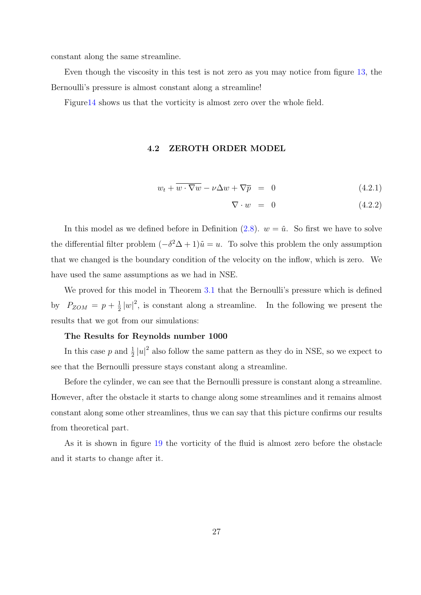<span id="page-33-0"></span>constant along the same streamline.

Even though the viscosity in this test is not zero as you may notice from figure 13, the Bernoulli's pressure is almost constant along a streamline!

Figure14 shows us that the vorticity is almost zero over the whole field.

#### 4.2 ZEROTH ORDER MODEL

$$
w_t + \overline{w \cdot \nabla w} - \nu \Delta w + \nabla \overline{p} = 0 \tag{4.2.1}
$$

$$
\nabla \cdot w = 0 \tag{4.2.2}
$$

In this model as we defined before in Definition  $(2.8)$ .  $w = \bar{u}$ . So first we have to solve the differential filter problem  $(-\delta^2 \Delta + 1)\overline{u} = u$ . To solve this problem the only assumption that we changed is the boundary condition of the vel[ocit](#page-17-0)y on the inflow, which is zero. We have used the same assumptions as we had in NSE.

We proved for this model in Theorem 3.1 that the Bernoulli's pressure which is defined by  $P_{ZOM} = p + \frac{1}{2}$  $\frac{1}{2}|w|^2$ , is constant along a streamline. In the following we present the results that we got from our simulations:

#### The Results for Reynolds number 1000

In this case p and  $\frac{1}{2}|u|^2$  also follow the same pattern as they do in NSE, so we expect to see that the Bernoulli pressure stays constant along a streamline.

Before the cylinder, we can see that the Bernoulli pressure is constant along a streamline. However, after the obstacle it starts to change along some streamlines and it remains almost constant along some other streamlines, thus we can say that this picture confirms our results from theoretical part.

As it is shown in figure 19 the vorticity of the fluid is almost zero before the obstacle and it starts to change after it.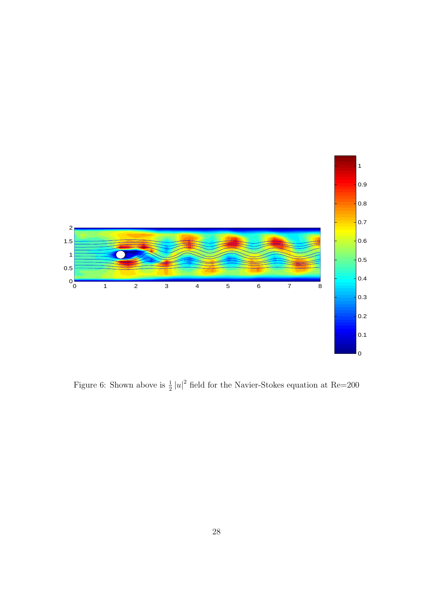<span id="page-34-0"></span>

Figure 6: Shown above is  $\frac{1}{2}|u|^2$  field for the Navier-Stokes equation at Re=200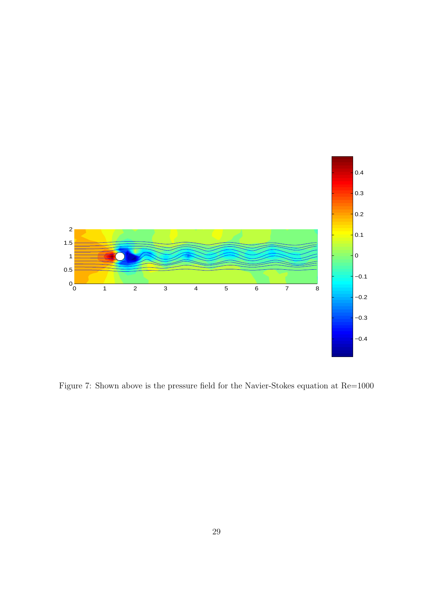<span id="page-35-0"></span>

Figure 7: Shown above is the pressure field for the Navier-Stokes equation at Re=1000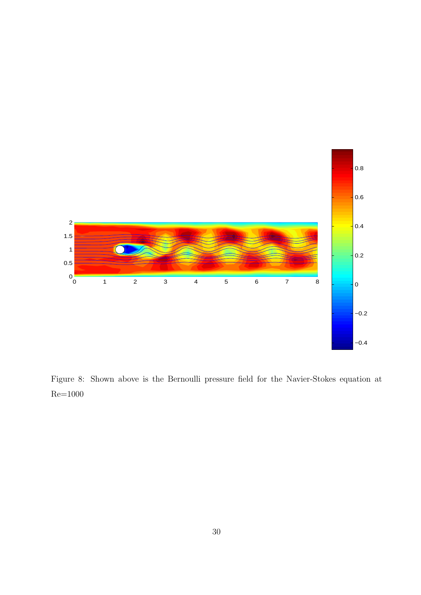<span id="page-36-0"></span>

Figure 8: Shown above is the Bernoulli pressure field for the Navier-Stokes equation at Re=1000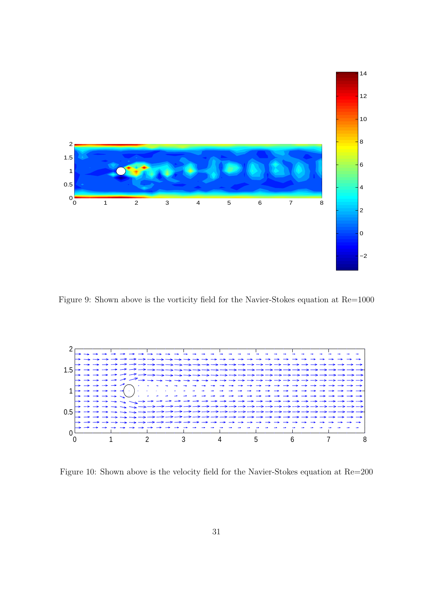<span id="page-37-0"></span>

Figure 9: Shown above is the vorticity field for the Navier-Stokes equation at Re=1000



Figure 10: Shown above is the velocity field for the Navier-Stokes equation at Re=200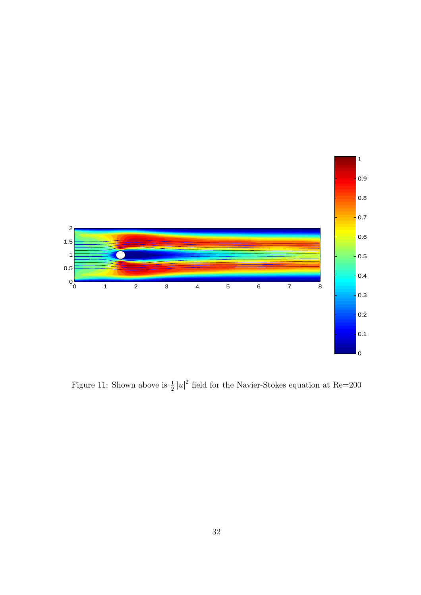<span id="page-38-0"></span>

Figure 11: Shown above is  $\frac{1}{2}|u|^2$  field for the Navier-Stokes equation at Re=200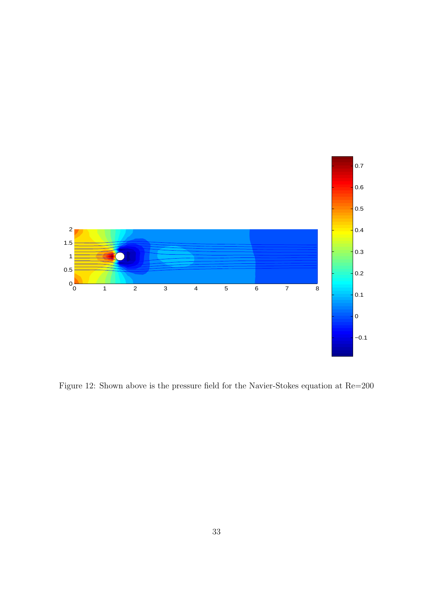<span id="page-39-0"></span>

Figure 12: Shown above is the pressure field for the Navier-Stokes equation at Re=200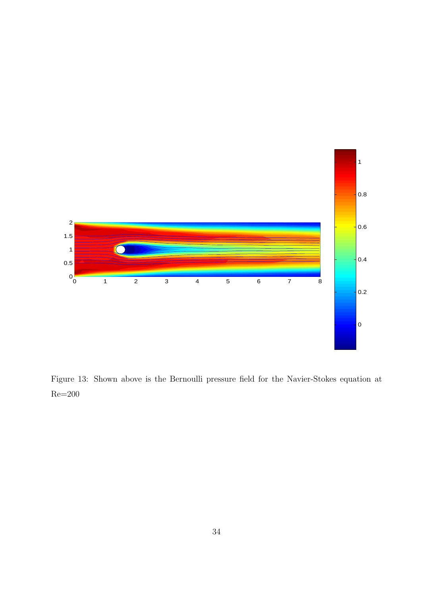<span id="page-40-0"></span>

Figure 13: Shown above is the Bernoulli pressure field for the Navier-Stokes equation at  $Re=200$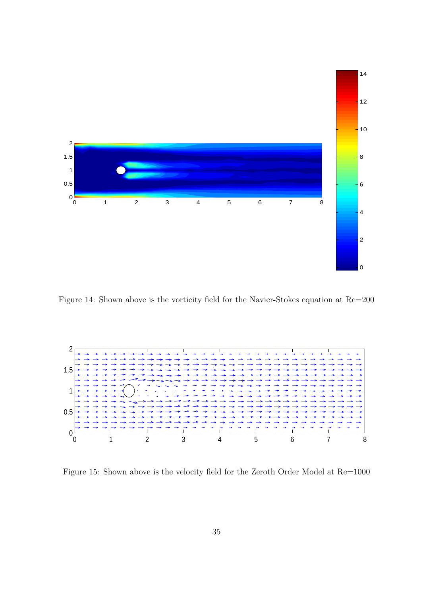<span id="page-41-0"></span>

Figure 14: Shown above is the vorticity field for the Navier-Stokes equation at Re=200



Figure 15: Shown above is the velocity field for the Zeroth Order Model at Re=1000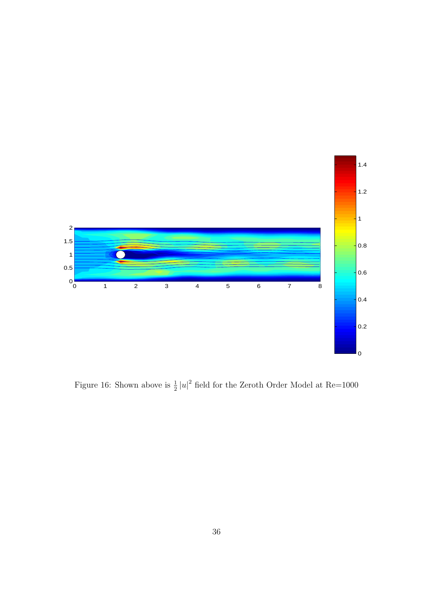<span id="page-42-0"></span>

Figure 16: Shown above is  $\frac{1}{2}|u|^2$  field for the Zeroth Order Model at Re=1000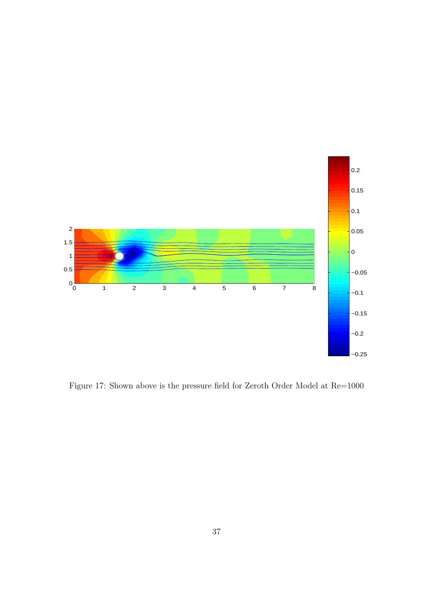<span id="page-43-0"></span>

Figure 17: Shown above is the pressure field for Zeroth Order Model at Re=1000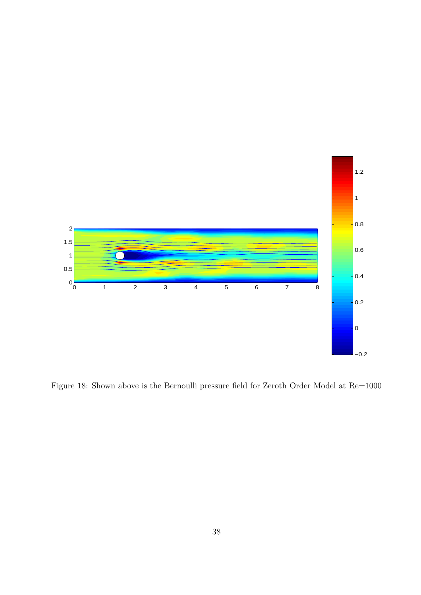<span id="page-44-0"></span>

Figure 18: Shown above is the Bernoulli pressure field for Zeroth Order Model at Re=1000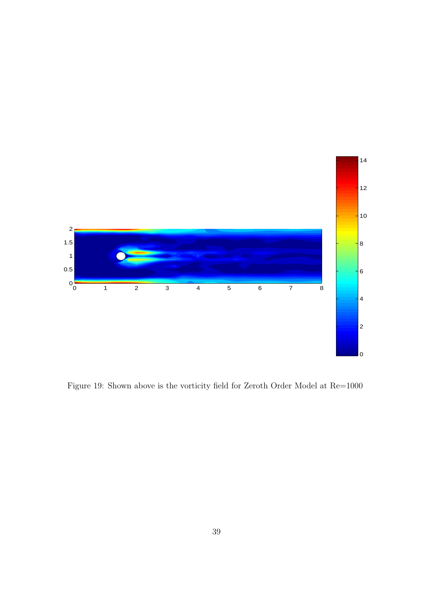<span id="page-45-0"></span>

Figure 19: Shown above is the vorticity field for Zeroth Order Model at Re=1000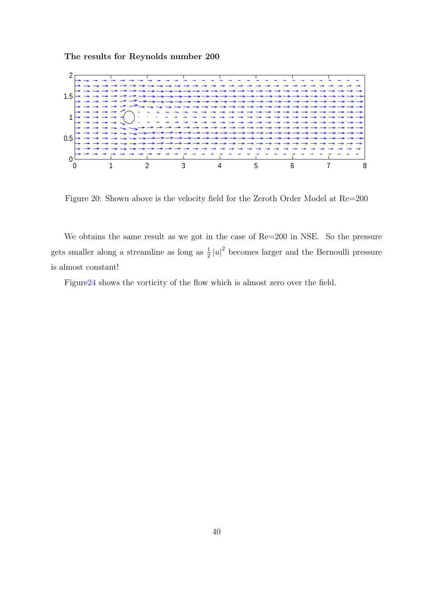#### The results for Reynolds number 200



Figure 20: Shown above is the velocity field for the Zeroth Order Model at Re=200

We obtains the same result as we got in the case of Re=200 in NSE. So the pressure gets smaller along a streamline as long as  $\frac{1}{2}|u|^2$  becomes larger and the Bernoulli pressure is almost constant!

Figure24 shows the vorticity of the flow which is almost zero over the field.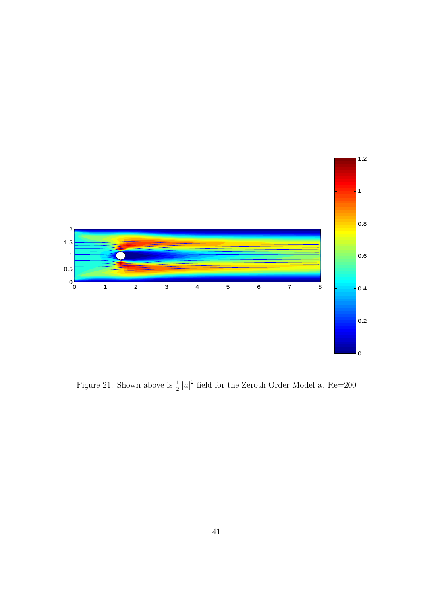<span id="page-47-0"></span>

Figure 21: Shown above is  $\frac{1}{2}|u|^2$  field for the Zeroth Order Model at Re=200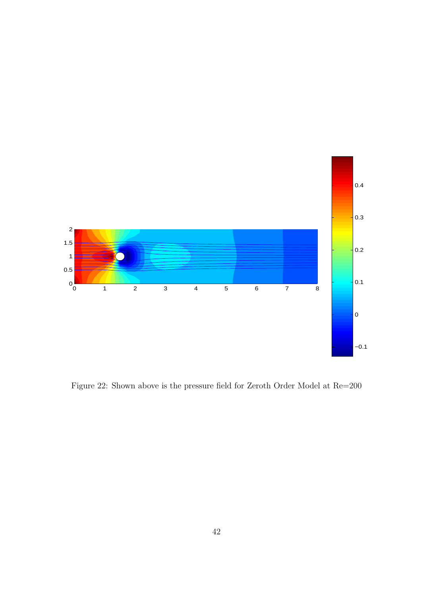<span id="page-48-0"></span>

Figure 22: Shown above is the pressure field for Zeroth Order Model at Re=200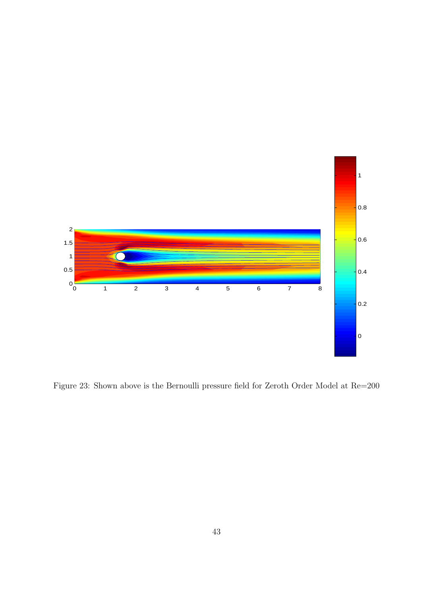<span id="page-49-0"></span>

Figure 23: Shown above is the Bernoulli pressure field for Zeroth Order Model at Re=200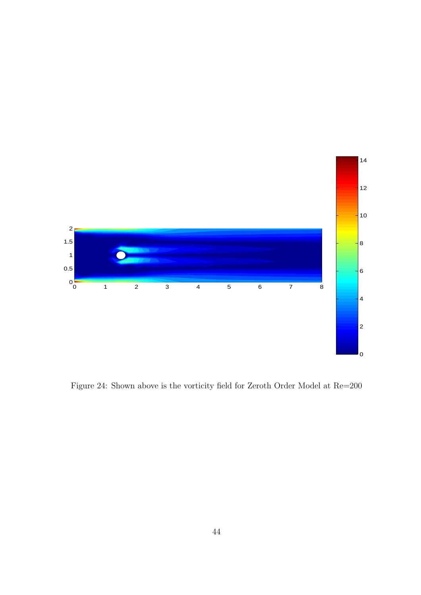<span id="page-50-0"></span>

Figure 24: Shown above is the vorticity field for Zeroth Order Model at Re=200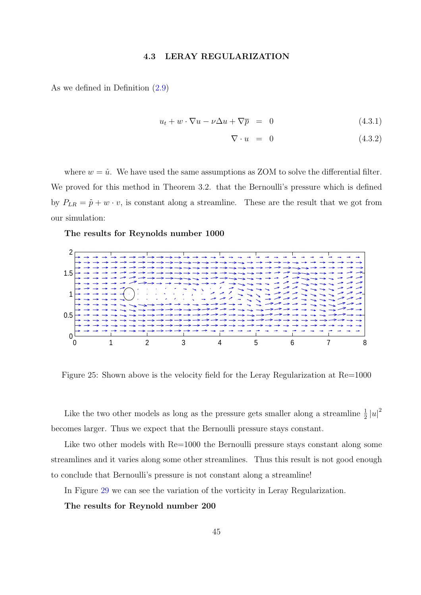#### 4.3 LERAY REGULARIZATION

<span id="page-51-0"></span>As we defined in Definition (2.9)

$$
u_t + w \cdot \nabla u - \nu \Delta u + \nabla \overline{p} = 0 \tag{4.3.1}
$$

$$
\nabla \cdot u = 0 \tag{4.3.2}
$$

where  $w = \bar{u}$ . We have used the same assumptions as ZOM to solve the differential filter. We proved for this method in Theorem 3.2. that the Bernoulli's pressure which is defined by  $P_{LR} = \bar{p} + w \cdot v$ , is constant along a streamline. These are the result that we got from our simulation:

The results for Reynolds number 1000



Figure 25: Shown above is the velocity field for the Leray Regularization at Re=1000

Like the two other models as long as the pressure gets smaller along a streamline  $\frac{1}{2}|u|^2$ becomes larger. Thus we expect that the Bernoulli pressure stays constant.

Like two other models with  $Re=1000$  the Bernoulli pressure stays constant along some streamlines and it varies along some other streamlines. Thus this result is not good enough to conclude that Bernoulli's pressure is not constant along a streamline!

In Figure 29 we can see the variation of the vorticity in Leray Regularization.

The results for Reynold number 200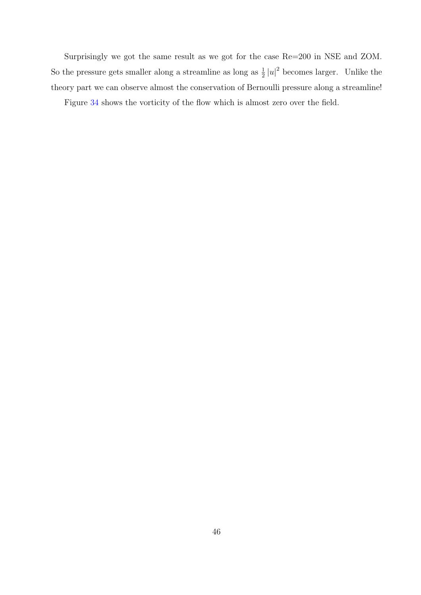Surprisingly we got the same result as we got for the case Re=200 in NSE and ZOM. So the pressure gets smaller along a streamline as long as  $\frac{1}{2}|u|^2$  becomes larger. Unlike the theory part we can observe almost the conservation of Bernoulli pressure along a streamline!

Figure 34 shows the vorticity of the flow which is almost zero over the field.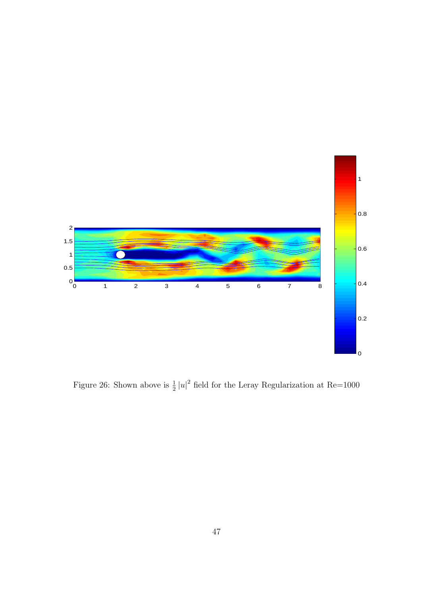<span id="page-53-0"></span>

Figure 26: Shown above is  $\frac{1}{2}|u|^2$  field for the Leray Regularization at Re=1000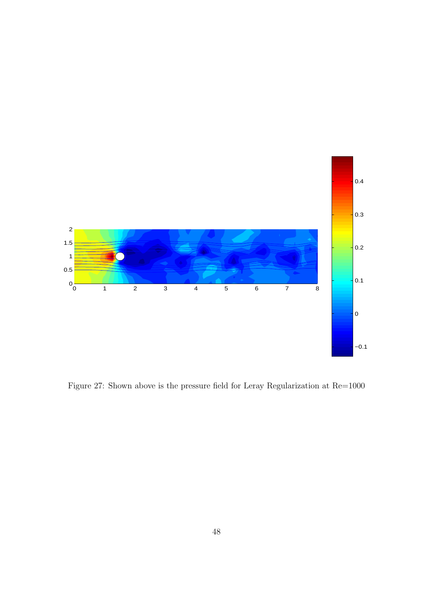<span id="page-54-0"></span>

Figure 27: Shown above is the pressure field for Leray Regularization at Re=1000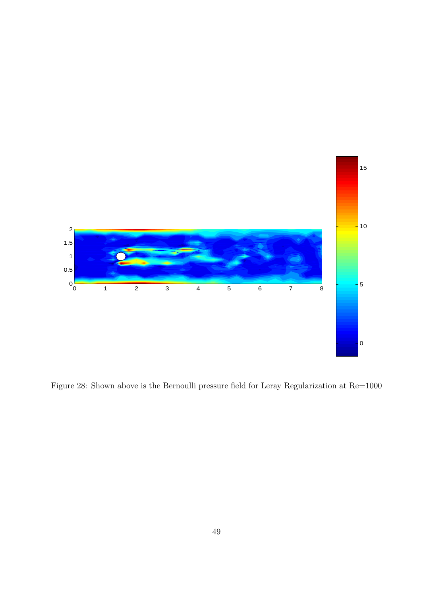<span id="page-55-0"></span>

Figure 28: Shown above is the Bernoulli pressure field for Leray Regularization at Re=1000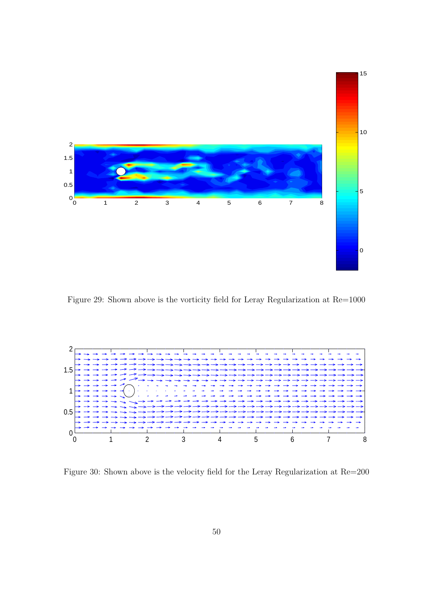<span id="page-56-0"></span>

Figure 29: Shown above is the vorticity field for Leray Regularization at Re=1000



Figure 30: Shown above is the velocity field for the Leray Regularization at Re=200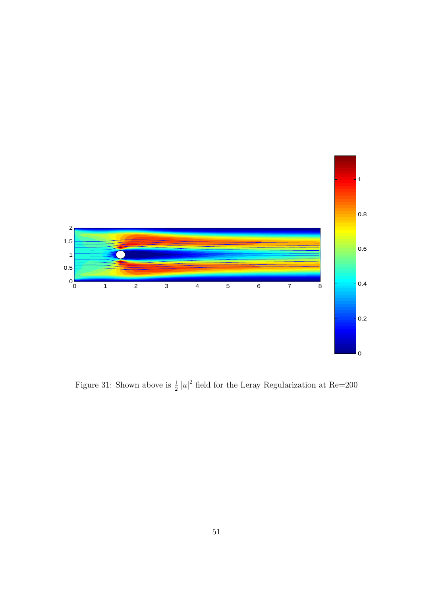<span id="page-57-0"></span>

Figure 31: Shown above is  $\frac{1}{2}|u|^2$  field for the Leray Regularization at Re=200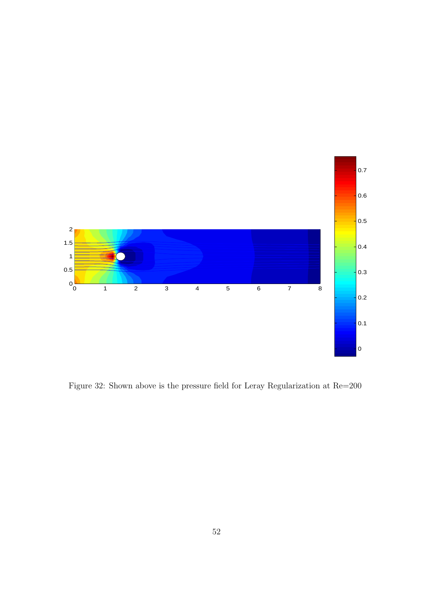<span id="page-58-0"></span>

Figure 32: Shown above is the pressure field for Leray Regularization at Re=200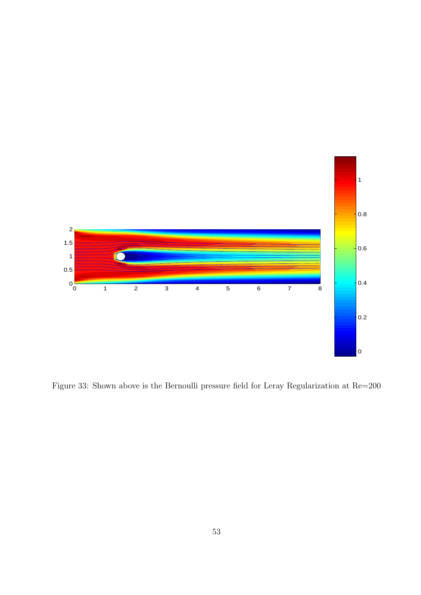

Figure 33: Shown above is the Bernoulli pressure field for Leray Regularization at Re=200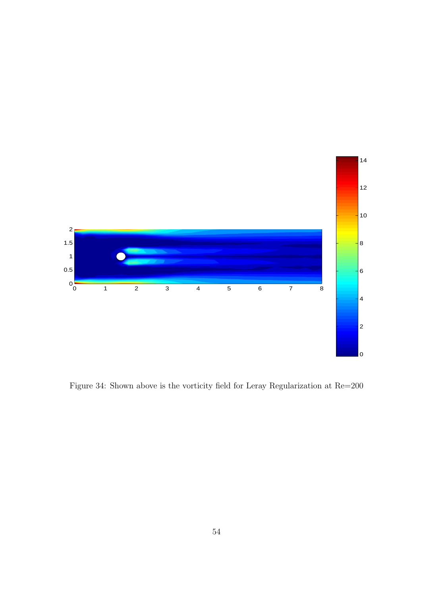

Figure 34: Shown above is the vorticity field for Leray Regularization at Re=200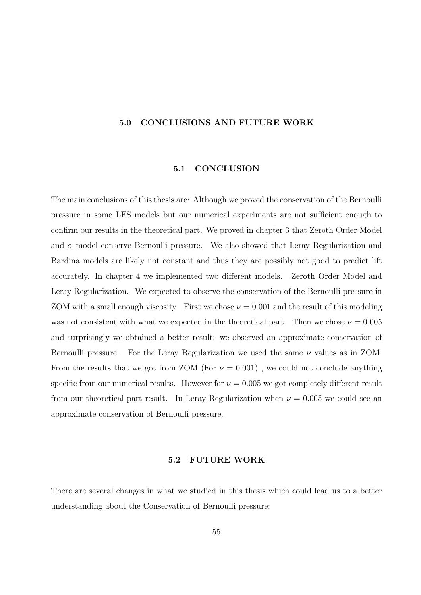#### <span id="page-61-0"></span>5.0 CONCLUSIONS AND FUTURE WORK

#### 5.1 CONCLUSION

The main conclusions of this thesis are: Although we proved the conservation of the Bernoulli pressure in some LES models but our numerical experiments are not sufficient enough to confirm our results in the theoretical part. We proved in chapter 3 that Zeroth Order Model and  $\alpha$  model conserve Bernoulli pressure. We also showed that Leray Regularization and Bardina models are likely not constant and thus they are possibly not good to predict lift accurately. In chapter 4 we implemented two different models. Zeroth Order Model and Leray Regularization. We expected to observe the conservation of the Bernoulli pressure in ZOM with a small enough viscosity. First we chose  $\nu = 0.001$  and the result of this modeling was not consistent with what we expected in the theoretical part. Then we chose  $\nu = 0.005$ and surprisingly we obtained a better result: we observed an approximate conservation of Bernoulli pressure. For the Leray Regularization we used the same  $\nu$  values as in ZOM. From the results that we got from ZOM (For  $\nu = 0.001$ ), we could not conclude anything specific from our numerical results. However for  $\nu = 0.005$  we got completely different result from our theoretical part result. In Leray Regularization when  $\nu = 0.005$  we could see an approximate conservation of Bernoulli pressure.

#### 5.2 FUTURE WORK

There are several changes in what we studied in this thesis which could lead us to a better understanding about the Conservation of Bernoulli pressure: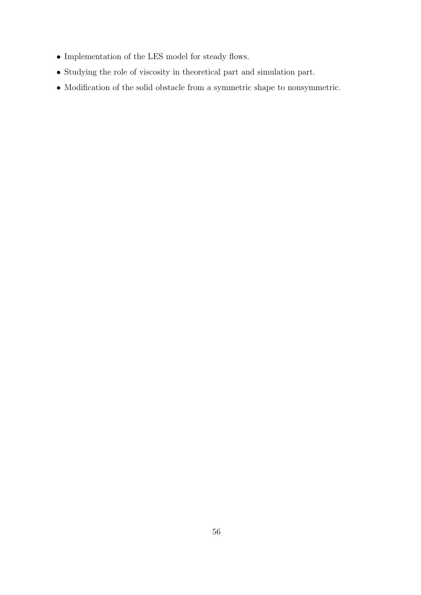- Implementation of the LES model for steady flows.
- Studying the role of viscosity in theoretical part and simulation part.
- $\bullet$  Modification of the solid obstacle from a symmetric shape to nonsymmetric.